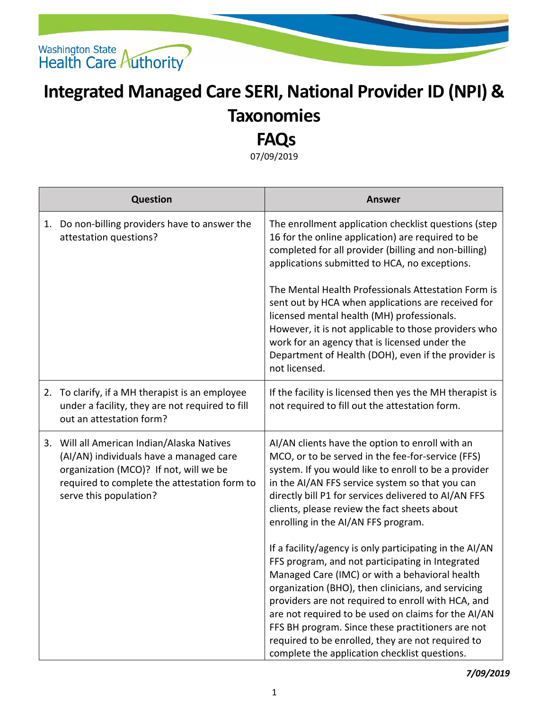

## **Integrated Managed Care SERI, National Provider ID (NPI) & Taxonomies**

## **FAQs**

07/09/2019

| <b>Question</b>                                                                                                                                                                                           | <b>Answer</b>                                                                                                                                                                                                                                                                                                                                                                                                                                                                               |
|-----------------------------------------------------------------------------------------------------------------------------------------------------------------------------------------------------------|---------------------------------------------------------------------------------------------------------------------------------------------------------------------------------------------------------------------------------------------------------------------------------------------------------------------------------------------------------------------------------------------------------------------------------------------------------------------------------------------|
| 1. Do non-billing providers have to answer the<br>attestation questions?                                                                                                                                  | The enrollment application checklist questions (step<br>16 for the online application) are required to be<br>completed for all provider (billing and non-billing)<br>applications submitted to HCA, no exceptions.                                                                                                                                                                                                                                                                          |
|                                                                                                                                                                                                           | The Mental Health Professionals Attestation Form is<br>sent out by HCA when applications are received for<br>licensed mental health (MH) professionals.<br>However, it is not applicable to those providers who<br>work for an agency that is licensed under the<br>Department of Health (DOH), even if the provider is<br>not licensed.                                                                                                                                                    |
| 2. To clarify, if a MH therapist is an employee<br>under a facility, they are not required to fill<br>out an attestation form?                                                                            | If the facility is licensed then yes the MH therapist is<br>not required to fill out the attestation form.                                                                                                                                                                                                                                                                                                                                                                                  |
| 3. Will all American Indian/Alaska Natives<br>(AI/AN) individuals have a managed care<br>organization (MCO)? If not, will we be<br>required to complete the attestation form to<br>serve this population? | AI/AN clients have the option to enroll with an<br>MCO, or to be served in the fee-for-service (FFS)<br>system. If you would like to enroll to be a provider<br>in the AI/AN FFS service system so that you can<br>directly bill P1 for services delivered to AI/AN FFS<br>clients, please review the fact sheets about<br>enrolling in the AI/AN FFS program.                                                                                                                              |
|                                                                                                                                                                                                           | If a facility/agency is only participating in the AI/AN<br>FFS program, and not participating in Integrated<br>Managed Care (IMC) or with a behavioral health<br>organization (BHO), then clinicians, and servicing<br>providers are not required to enroll with HCA, and<br>are not required to be used on claims for the AI/AN<br>FFS BH program. Since these practitioners are not<br>required to be enrolled, they are not required to<br>complete the application checklist questions. |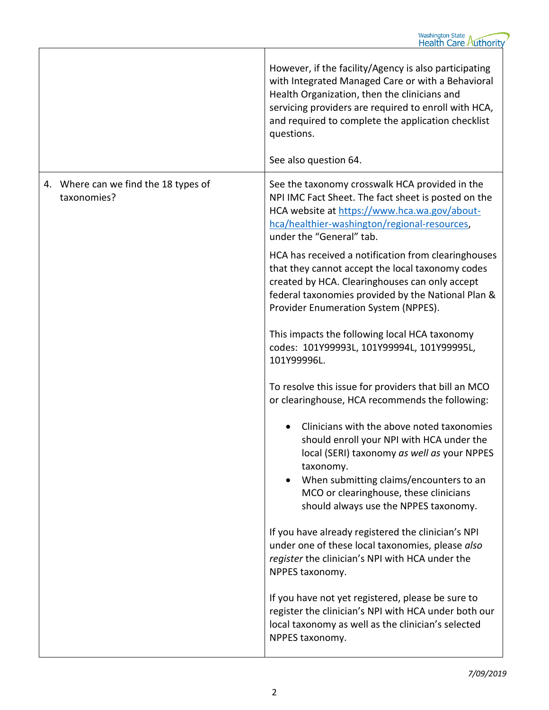|                                                     | However, if the facility/Agency is also participating<br>with Integrated Managed Care or with a Behavioral<br>Health Organization, then the clinicians and<br>servicing providers are required to enroll with HCA,<br>and required to complete the application checklist<br>questions.<br>See also question 64.                                                                                                                                                                              |
|-----------------------------------------------------|----------------------------------------------------------------------------------------------------------------------------------------------------------------------------------------------------------------------------------------------------------------------------------------------------------------------------------------------------------------------------------------------------------------------------------------------------------------------------------------------|
| 4. Where can we find the 18 types of<br>taxonomies? | See the taxonomy crosswalk HCA provided in the<br>NPI IMC Fact Sheet. The fact sheet is posted on the<br>HCA website at https://www.hca.wa.gov/about-<br>hca/healthier-washington/regional-resources,<br>under the "General" tab.<br>HCA has received a notification from clearinghouses<br>that they cannot accept the local taxonomy codes<br>created by HCA. Clearinghouses can only accept<br>federal taxonomies provided by the National Plan &<br>Provider Enumeration System (NPPES). |
|                                                     | This impacts the following local HCA taxonomy<br>codes: 101Y99993L, 101Y99994L, 101Y99995L,<br>101Y99996L.<br>To resolve this issue for providers that bill an MCO<br>or clearinghouse, HCA recommends the following:<br>Clinicians with the above noted taxonomies<br>should enroll your NPI with HCA under the<br>local (SERI) taxonomy as well as your NPPES<br>taxonomy.<br>When submitting claims/encounters to an<br>$\bullet$                                                         |
|                                                     | MCO or clearinghouse, these clinicians<br>should always use the NPPES taxonomy.<br>If you have already registered the clinician's NPI<br>under one of these local taxonomies, please also<br>register the clinician's NPI with HCA under the<br>NPPES taxonomy.<br>If you have not yet registered, please be sure to<br>register the clinician's NPI with HCA under both our<br>local taxonomy as well as the clinician's selected<br>NPPES taxonomy.                                        |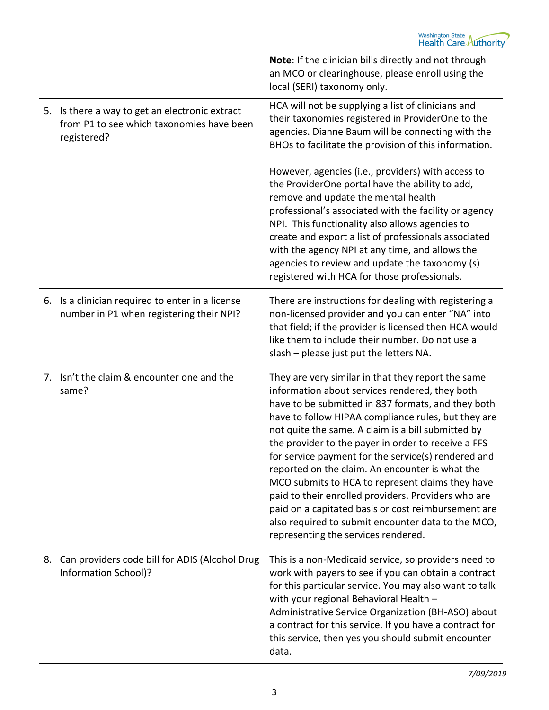|    |                                                                                                         | Note: If the clinician bills directly and not through<br>an MCO or clearinghouse, please enroll using the<br>local (SERI) taxonomy only.                                                                                                                                                                                                                                                                                                                                                                                                                                                                                                                                                                |
|----|---------------------------------------------------------------------------------------------------------|---------------------------------------------------------------------------------------------------------------------------------------------------------------------------------------------------------------------------------------------------------------------------------------------------------------------------------------------------------------------------------------------------------------------------------------------------------------------------------------------------------------------------------------------------------------------------------------------------------------------------------------------------------------------------------------------------------|
| 5. | Is there a way to get an electronic extract<br>from P1 to see which taxonomies have been<br>registered? | HCA will not be supplying a list of clinicians and<br>their taxonomies registered in ProviderOne to the<br>agencies. Dianne Baum will be connecting with the<br>BHOs to facilitate the provision of this information.                                                                                                                                                                                                                                                                                                                                                                                                                                                                                   |
|    |                                                                                                         | However, agencies (i.e., providers) with access to<br>the ProviderOne portal have the ability to add,<br>remove and update the mental health<br>professional's associated with the facility or agency<br>NPI. This functionality also allows agencies to<br>create and export a list of professionals associated<br>with the agency NPI at any time, and allows the<br>agencies to review and update the taxonomy (s)<br>registered with HCA for those professionals.                                                                                                                                                                                                                                   |
|    | 6. Is a clinician required to enter in a license<br>number in P1 when registering their NPI?            | There are instructions for dealing with registering a<br>non-licensed provider and you can enter "NA" into<br>that field; if the provider is licensed then HCA would<br>like them to include their number. Do not use a<br>slash - please just put the letters NA.                                                                                                                                                                                                                                                                                                                                                                                                                                      |
|    | 7. Isn't the claim & encounter one and the<br>same?                                                     | They are very similar in that they report the same<br>information about services rendered, they both<br>have to be submitted in 837 formats, and they both<br>have to follow HIPAA compliance rules, but they are<br>not quite the same. A claim is a bill submitted by<br>the provider to the payer in order to receive a FFS<br>for service payment for the service(s) rendered and<br>reported on the claim. An encounter is what the<br>MCO submits to HCA to represent claims they have<br>paid to their enrolled providers. Providers who are<br>paid on a capitated basis or cost reimbursement are<br>also required to submit encounter data to the MCO,<br>representing the services rendered. |
| 8. | Can providers code bill for ADIS (Alcohol Drug<br>Information School)?                                  | This is a non-Medicaid service, so providers need to<br>work with payers to see if you can obtain a contract<br>for this particular service. You may also want to talk<br>with your regional Behavioral Health -<br>Administrative Service Organization (BH-ASO) about<br>a contract for this service. If you have a contract for<br>this service, then yes you should submit encounter<br>data.                                                                                                                                                                                                                                                                                                        |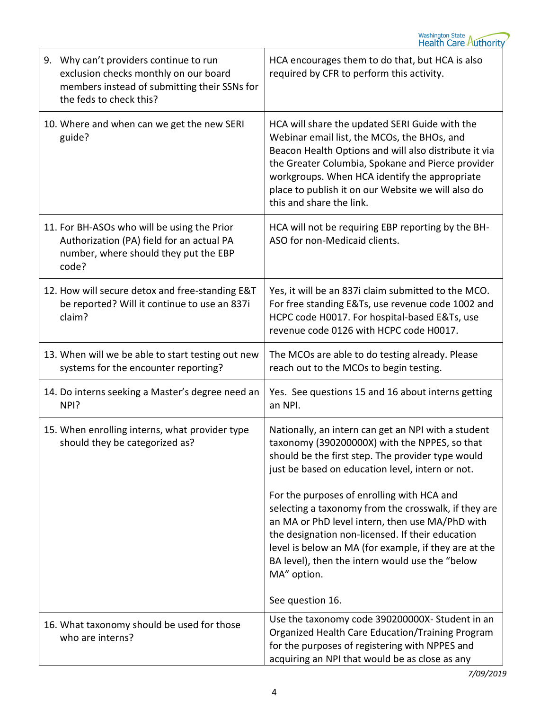| 9. Why can't providers continue to run<br>exclusion checks monthly on our board<br>members instead of submitting their SSNs for<br>the feds to check this? | HCA encourages them to do that, but HCA is also<br>required by CFR to perform this activity.                                                                                                                                                                                                                                                   |
|------------------------------------------------------------------------------------------------------------------------------------------------------------|------------------------------------------------------------------------------------------------------------------------------------------------------------------------------------------------------------------------------------------------------------------------------------------------------------------------------------------------|
| 10. Where and when can we get the new SERI<br>guide?                                                                                                       | HCA will share the updated SERI Guide with the<br>Webinar email list, the MCOs, the BHOs, and<br>Beacon Health Options and will also distribute it via<br>the Greater Columbia, Spokane and Pierce provider<br>workgroups. When HCA identify the appropriate<br>place to publish it on our Website we will also do<br>this and share the link. |
| 11. For BH-ASOs who will be using the Prior<br>Authorization (PA) field for an actual PA<br>number, where should they put the EBP<br>code?                 | HCA will not be requiring EBP reporting by the BH-<br>ASO for non-Medicaid clients.                                                                                                                                                                                                                                                            |
| 12. How will secure detox and free-standing E&T<br>be reported? Will it continue to use an 837i<br>claim?                                                  | Yes, it will be an 837i claim submitted to the MCO.<br>For free standing E&Ts, use revenue code 1002 and<br>HCPC code H0017. For hospital-based E&Ts, use<br>revenue code 0126 with HCPC code H0017.                                                                                                                                           |
| 13. When will we be able to start testing out new<br>systems for the encounter reporting?                                                                  | The MCOs are able to do testing already. Please<br>reach out to the MCOs to begin testing.                                                                                                                                                                                                                                                     |
| 14. Do interns seeking a Master's degree need an<br>NPI?                                                                                                   | Yes. See questions 15 and 16 about interns getting<br>an NPI.                                                                                                                                                                                                                                                                                  |
| 15. When enrolling interns, what provider type<br>should they be categorized as?                                                                           | Nationally, an intern can get an NPI with a student<br>taxonomy (390200000X) with the NPPES, so that<br>should be the first step. The provider type would<br>just be based on education level, intern or not.<br>For the purposes of enrolling with HCA and<br>selecting a taxonomy from the crosswalk, if they are                            |
|                                                                                                                                                            | an MA or PhD level intern, then use MA/PhD with<br>the designation non-licensed. If their education<br>level is below an MA (for example, if they are at the<br>BA level), then the intern would use the "below<br>MA" option.                                                                                                                 |
|                                                                                                                                                            | See question 16.                                                                                                                                                                                                                                                                                                                               |
| 16. What taxonomy should be used for those<br>who are interns?                                                                                             | Use the taxonomy code 390200000X-Student in an<br>Organized Health Care Education/Training Program<br>for the purposes of registering with NPPES and<br>acquiring an NPI that would be as close as any                                                                                                                                         |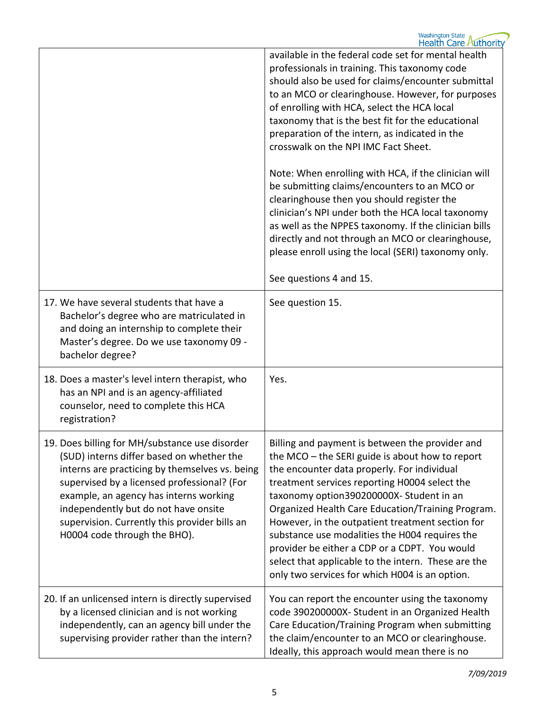|                                                                                                                                                                                                                                                                                                                                                                 | available in the federal code set for mental health<br>professionals in training. This taxonomy code<br>should also be used for claims/encounter submittal<br>to an MCO or clearinghouse. However, for purposes<br>of enrolling with HCA, select the HCA local<br>taxonomy that is the best fit for the educational<br>preparation of the intern, as indicated in the<br>crosswalk on the NPI IMC Fact Sheet.<br>Note: When enrolling with HCA, if the clinician will<br>be submitting claims/encounters to an MCO or<br>clearinghouse then you should register the<br>clinician's NPI under both the HCA local taxonomy<br>as well as the NPPES taxonomy. If the clinician bills<br>directly and not through an MCO or clearinghouse,<br>please enroll using the local (SERI) taxonomy only. |
|-----------------------------------------------------------------------------------------------------------------------------------------------------------------------------------------------------------------------------------------------------------------------------------------------------------------------------------------------------------------|-----------------------------------------------------------------------------------------------------------------------------------------------------------------------------------------------------------------------------------------------------------------------------------------------------------------------------------------------------------------------------------------------------------------------------------------------------------------------------------------------------------------------------------------------------------------------------------------------------------------------------------------------------------------------------------------------------------------------------------------------------------------------------------------------|
|                                                                                                                                                                                                                                                                                                                                                                 | See questions 4 and 15.                                                                                                                                                                                                                                                                                                                                                                                                                                                                                                                                                                                                                                                                                                                                                                       |
| 17. We have several students that have a<br>Bachelor's degree who are matriculated in<br>and doing an internship to complete their<br>Master's degree. Do we use taxonomy 09 -<br>bachelor degree?                                                                                                                                                              | See question 15.                                                                                                                                                                                                                                                                                                                                                                                                                                                                                                                                                                                                                                                                                                                                                                              |
| 18. Does a master's level intern therapist, who<br>has an NPI and is an agency-affiliated<br>counselor, need to complete this HCA<br>registration?                                                                                                                                                                                                              | Yes.                                                                                                                                                                                                                                                                                                                                                                                                                                                                                                                                                                                                                                                                                                                                                                                          |
| 19. Does billing for MH/substance use disorder<br>(SUD) interns differ based on whether the<br>interns are practicing by themselves vs. being<br>supervised by a licensed professional? (For<br>example, an agency has interns working<br>independently but do not have onsite<br>supervision. Currently this provider bills an<br>H0004 code through the BHO). | Billing and payment is between the provider and<br>the MCO - the SERI guide is about how to report<br>the encounter data properly. For individual<br>treatment services reporting H0004 select the<br>taxonomy option390200000X-Student in an<br>Organized Health Care Education/Training Program.<br>However, in the outpatient treatment section for<br>substance use modalities the H004 requires the<br>provider be either a CDP or a CDPT. You would<br>select that applicable to the intern. These are the<br>only two services for which H004 is an option.                                                                                                                                                                                                                            |
| 20. If an unlicensed intern is directly supervised<br>by a licensed clinician and is not working<br>independently, can an agency bill under the<br>supervising provider rather than the intern?                                                                                                                                                                 | You can report the encounter using the taxonomy<br>code 390200000X- Student in an Organized Health<br>Care Education/Training Program when submitting<br>the claim/encounter to an MCO or clearinghouse.<br>Ideally, this approach would mean there is no                                                                                                                                                                                                                                                                                                                                                                                                                                                                                                                                     |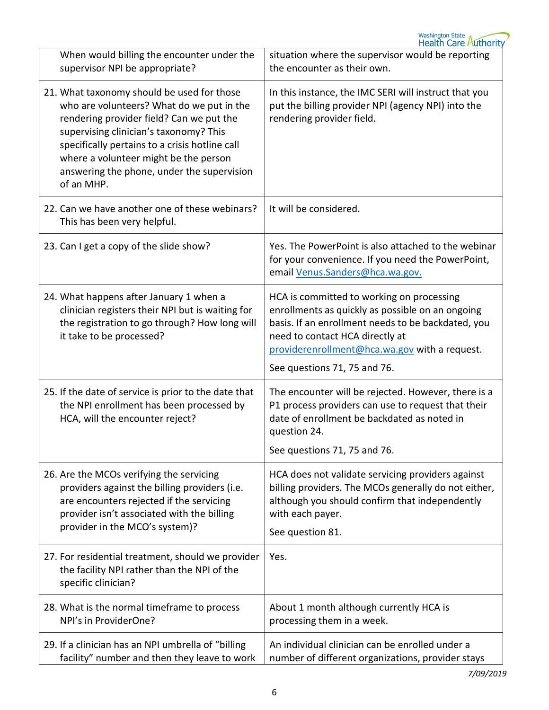| When would billing the encounter under the<br>supervisor NPI be appropriate?                                                                                                                                                                                                                                                         | situation where the supervisor would be reporting<br>the encounter as their own.                                                                                                                                                                                        |
|--------------------------------------------------------------------------------------------------------------------------------------------------------------------------------------------------------------------------------------------------------------------------------------------------------------------------------------|-------------------------------------------------------------------------------------------------------------------------------------------------------------------------------------------------------------------------------------------------------------------------|
| 21. What taxonomy should be used for those<br>who are volunteers? What do we put in the<br>rendering provider field? Can we put the<br>supervising clinician's taxonomy? This<br>specifically pertains to a crisis hotline call<br>where a volunteer might be the person<br>answering the phone, under the supervision<br>of an MHP. | In this instance, the IMC SERI will instruct that you<br>put the billing provider NPI (agency NPI) into the<br>rendering provider field.                                                                                                                                |
| 22. Can we have another one of these webinars?<br>This has been very helpful.                                                                                                                                                                                                                                                        | It will be considered.                                                                                                                                                                                                                                                  |
| 23. Can I get a copy of the slide show?                                                                                                                                                                                                                                                                                              | Yes. The PowerPoint is also attached to the webinar<br>for your convenience. If you need the PowerPoint,<br>email Venus.Sanders@hca.wa.gov.                                                                                                                             |
| 24. What happens after January 1 when a<br>clinician registers their NPI but is waiting for<br>the registration to go through? How long will<br>it take to be processed?                                                                                                                                                             | HCA is committed to working on processing<br>enrollments as quickly as possible on an ongoing<br>basis. If an enrollment needs to be backdated, you<br>need to contact HCA directly at<br>providerenrollment@hca.wa.gov with a request.<br>See questions 71, 75 and 76. |
| 25. If the date of service is prior to the date that<br>the NPI enrollment has been processed by<br>HCA, will the encounter reject?                                                                                                                                                                                                  | The encounter will be rejected. However, there is a<br>P1 process providers can use to request that their<br>date of enrollment be backdated as noted in<br>question 24.<br>See questions 71, 75 and 76.                                                                |
| 26. Are the MCOs verifying the servicing<br>providers against the billing providers (i.e.<br>are encounters rejected if the servicing<br>provider isn't associated with the billing<br>provider in the MCO's system)?                                                                                                                | HCA does not validate servicing providers against<br>billing providers. The MCOs generally do not either,<br>although you should confirm that independently<br>with each payer.<br>See question 81.                                                                     |
| 27. For residential treatment, should we provider<br>the facility NPI rather than the NPI of the<br>specific clinician?                                                                                                                                                                                                              | Yes.                                                                                                                                                                                                                                                                    |
| 28. What is the normal timeframe to process<br>NPI's in ProviderOne?                                                                                                                                                                                                                                                                 | About 1 month although currently HCA is<br>processing them in a week.                                                                                                                                                                                                   |
| 29. If a clinician has an NPI umbrella of "billing<br>facility" number and then they leave to work                                                                                                                                                                                                                                   | An individual clinician can be enrolled under a<br>number of different organizations, provider stays                                                                                                                                                                    |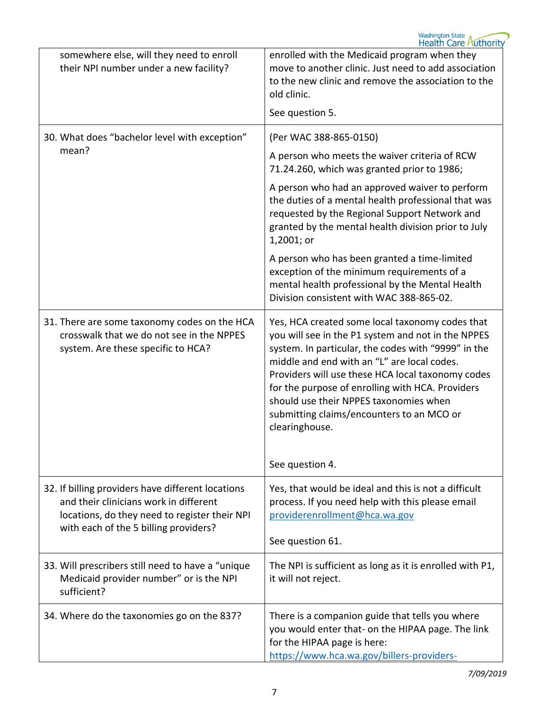| somewhere else, will they need to enroll<br>their NPI number under a new facility?                                                                                                    | enrolled with the Medicaid program when they<br>move to another clinic. Just need to add association<br>to the new clinic and remove the association to the<br>old clinic.<br>See question 5.                                                                                                                                                                                                                                                    |
|---------------------------------------------------------------------------------------------------------------------------------------------------------------------------------------|--------------------------------------------------------------------------------------------------------------------------------------------------------------------------------------------------------------------------------------------------------------------------------------------------------------------------------------------------------------------------------------------------------------------------------------------------|
| 30. What does "bachelor level with exception"                                                                                                                                         | (Per WAC 388-865-0150)                                                                                                                                                                                                                                                                                                                                                                                                                           |
| mean?                                                                                                                                                                                 | A person who meets the waiver criteria of RCW<br>71.24.260, which was granted prior to 1986;                                                                                                                                                                                                                                                                                                                                                     |
|                                                                                                                                                                                       | A person who had an approved waiver to perform<br>the duties of a mental health professional that was<br>requested by the Regional Support Network and<br>granted by the mental health division prior to July<br>1,2001; or                                                                                                                                                                                                                      |
|                                                                                                                                                                                       | A person who has been granted a time-limited<br>exception of the minimum requirements of a<br>mental health professional by the Mental Health<br>Division consistent with WAC 388-865-02.                                                                                                                                                                                                                                                        |
| 31. There are some taxonomy codes on the HCA<br>crosswalk that we do not see in the NPPES<br>system. Are these specific to HCA?                                                       | Yes, HCA created some local taxonomy codes that<br>you will see in the P1 system and not in the NPPES<br>system. In particular, the codes with "9999" in the<br>middle and end with an "L" are local codes.<br>Providers will use these HCA local taxonomy codes<br>for the purpose of enrolling with HCA. Providers<br>should use their NPPES taxonomies when<br>submitting claims/encounters to an MCO or<br>clearinghouse.<br>See question 4. |
| 32. If billing providers have different locations<br>and their clinicians work in different<br>locations, do they need to register their NPI<br>with each of the 5 billing providers? | Yes, that would be ideal and this is not a difficult<br>process. If you need help with this please email<br>providerenrollment@hca.wa.gov<br>See question 61.                                                                                                                                                                                                                                                                                    |
| 33. Will prescribers still need to have a "unique<br>Medicaid provider number" or is the NPI<br>sufficient?                                                                           | The NPI is sufficient as long as it is enrolled with P1,<br>it will not reject.                                                                                                                                                                                                                                                                                                                                                                  |
| 34. Where do the taxonomies go on the 837?                                                                                                                                            | There is a companion guide that tells you where<br>you would enter that- on the HIPAA page. The link<br>for the HIPAA page is here:<br>https://www.hca.wa.gov/billers-providers-                                                                                                                                                                                                                                                                 |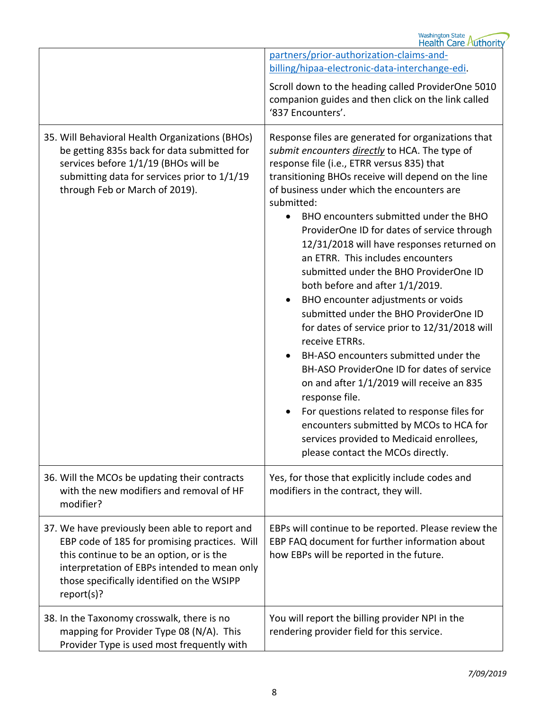|                                                                                                                                                                                                                                                         | Washington State<br>Health Care Authority                                                                                                                                                                                                                                                                                                                                                                                                                                                                                                                                                                                                                                                                                                                                                                                                                                                                                                                                                                          |
|---------------------------------------------------------------------------------------------------------------------------------------------------------------------------------------------------------------------------------------------------------|--------------------------------------------------------------------------------------------------------------------------------------------------------------------------------------------------------------------------------------------------------------------------------------------------------------------------------------------------------------------------------------------------------------------------------------------------------------------------------------------------------------------------------------------------------------------------------------------------------------------------------------------------------------------------------------------------------------------------------------------------------------------------------------------------------------------------------------------------------------------------------------------------------------------------------------------------------------------------------------------------------------------|
|                                                                                                                                                                                                                                                         | partners/prior-authorization-claims-and-                                                                                                                                                                                                                                                                                                                                                                                                                                                                                                                                                                                                                                                                                                                                                                                                                                                                                                                                                                           |
|                                                                                                                                                                                                                                                         | billing/hipaa-electronic-data-interchange-edi.                                                                                                                                                                                                                                                                                                                                                                                                                                                                                                                                                                                                                                                                                                                                                                                                                                                                                                                                                                     |
|                                                                                                                                                                                                                                                         | Scroll down to the heading called ProviderOne 5010<br>companion guides and then click on the link called<br>'837 Encounters'.                                                                                                                                                                                                                                                                                                                                                                                                                                                                                                                                                                                                                                                                                                                                                                                                                                                                                      |
| 35. Will Behavioral Health Organizations (BHOs)<br>be getting 835s back for data submitted for<br>services before 1/1/19 (BHOs will be<br>submitting data for services prior to 1/1/19<br>through Feb or March of 2019).                                | Response files are generated for organizations that<br>submit encounters directly to HCA. The type of<br>response file (i.e., ETRR versus 835) that<br>transitioning BHOs receive will depend on the line<br>of business under which the encounters are<br>submitted:<br>BHO encounters submitted under the BHO<br>ProviderOne ID for dates of service through<br>12/31/2018 will have responses returned on<br>an ETRR. This includes encounters<br>submitted under the BHO ProviderOne ID<br>both before and after 1/1/2019.<br>BHO encounter adjustments or voids<br>submitted under the BHO ProviderOne ID<br>for dates of service prior to 12/31/2018 will<br>receive ETRRs.<br>BH-ASO encounters submitted under the<br>BH-ASO ProviderOne ID for dates of service<br>on and after 1/1/2019 will receive an 835<br>response file.<br>For questions related to response files for<br>encounters submitted by MCOs to HCA for<br>services provided to Medicaid enrollees,<br>please contact the MCOs directly. |
| 36. Will the MCOs be updating their contracts<br>with the new modifiers and removal of HF<br>modifier?                                                                                                                                                  | Yes, for those that explicitly include codes and<br>modifiers in the contract, they will.                                                                                                                                                                                                                                                                                                                                                                                                                                                                                                                                                                                                                                                                                                                                                                                                                                                                                                                          |
| 37. We have previously been able to report and<br>EBP code of 185 for promising practices. Will<br>this continue to be an option, or is the<br>interpretation of EBPs intended to mean only<br>those specifically identified on the WSIPP<br>report(s)? | EBPs will continue to be reported. Please review the<br>EBP FAQ document for further information about<br>how EBPs will be reported in the future.                                                                                                                                                                                                                                                                                                                                                                                                                                                                                                                                                                                                                                                                                                                                                                                                                                                                 |
| 38. In the Taxonomy crosswalk, there is no<br>mapping for Provider Type 08 (N/A). This<br>Provider Type is used most frequently with                                                                                                                    | You will report the billing provider NPI in the<br>rendering provider field for this service.                                                                                                                                                                                                                                                                                                                                                                                                                                                                                                                                                                                                                                                                                                                                                                                                                                                                                                                      |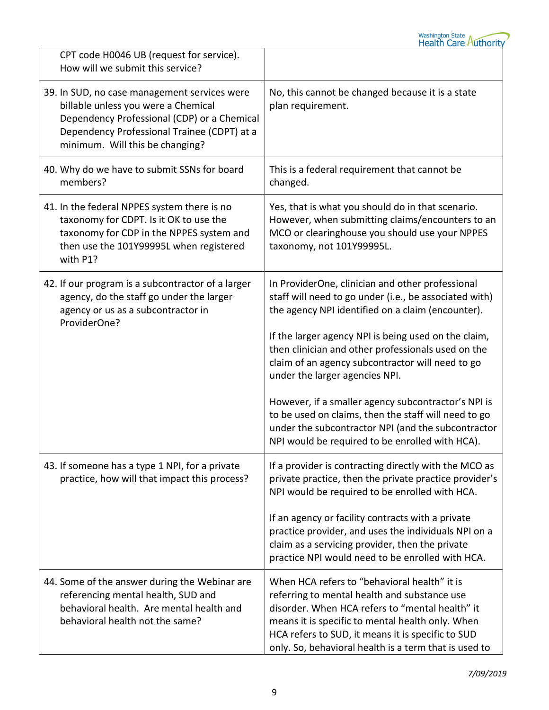

| CPT code H0046 UB (request for service).<br>How will we submit this service?                                                                                                                                         |                                                                                                                                                                                                                                                                                                                                                                                                                                                                                                                                                                                             |
|----------------------------------------------------------------------------------------------------------------------------------------------------------------------------------------------------------------------|---------------------------------------------------------------------------------------------------------------------------------------------------------------------------------------------------------------------------------------------------------------------------------------------------------------------------------------------------------------------------------------------------------------------------------------------------------------------------------------------------------------------------------------------------------------------------------------------|
| 39. In SUD, no case management services were<br>billable unless you were a Chemical<br>Dependency Professional (CDP) or a Chemical<br>Dependency Professional Trainee (CDPT) at a<br>minimum. Will this be changing? | No, this cannot be changed because it is a state<br>plan requirement.                                                                                                                                                                                                                                                                                                                                                                                                                                                                                                                       |
| 40. Why do we have to submit SSNs for board<br>members?                                                                                                                                                              | This is a federal requirement that cannot be<br>changed.                                                                                                                                                                                                                                                                                                                                                                                                                                                                                                                                    |
| 41. In the federal NPPES system there is no<br>taxonomy for CDPT. Is it OK to use the<br>taxonomy for CDP in the NPPES system and<br>then use the 101Y99995L when registered<br>with P1?                             | Yes, that is what you should do in that scenario.<br>However, when submitting claims/encounters to an<br>MCO or clearinghouse you should use your NPPES<br>taxonomy, not 101Y99995L.                                                                                                                                                                                                                                                                                                                                                                                                        |
| 42. If our program is a subcontractor of a larger<br>agency, do the staff go under the larger<br>agency or us as a subcontractor in<br>ProviderOne?                                                                  | In ProviderOne, clinician and other professional<br>staff will need to go under (i.e., be associated with)<br>the agency NPI identified on a claim (encounter).<br>If the larger agency NPI is being used on the claim,<br>then clinician and other professionals used on the<br>claim of an agency subcontractor will need to go<br>under the larger agencies NPI.<br>However, if a smaller agency subcontractor's NPI is<br>to be used on claims, then the staff will need to go<br>under the subcontractor NPI (and the subcontractor<br>NPI would be required to be enrolled with HCA). |
| 43. If someone has a type 1 NPI, for a private<br>practice, how will that impact this process?                                                                                                                       | If a provider is contracting directly with the MCO as<br>private practice, then the private practice provider's<br>NPI would be required to be enrolled with HCA.<br>If an agency or facility contracts with a private<br>practice provider, and uses the individuals NPI on a<br>claim as a servicing provider, then the private<br>practice NPI would need to be enrolled with HCA.                                                                                                                                                                                                       |
| 44. Some of the answer during the Webinar are<br>referencing mental health, SUD and<br>behavioral health. Are mental health and<br>behavioral health not the same?                                                   | When HCA refers to "behavioral health" it is<br>referring to mental health and substance use<br>disorder. When HCA refers to "mental health" it<br>means it is specific to mental health only. When<br>HCA refers to SUD, it means it is specific to SUD<br>only. So, behavioral health is a term that is used to                                                                                                                                                                                                                                                                           |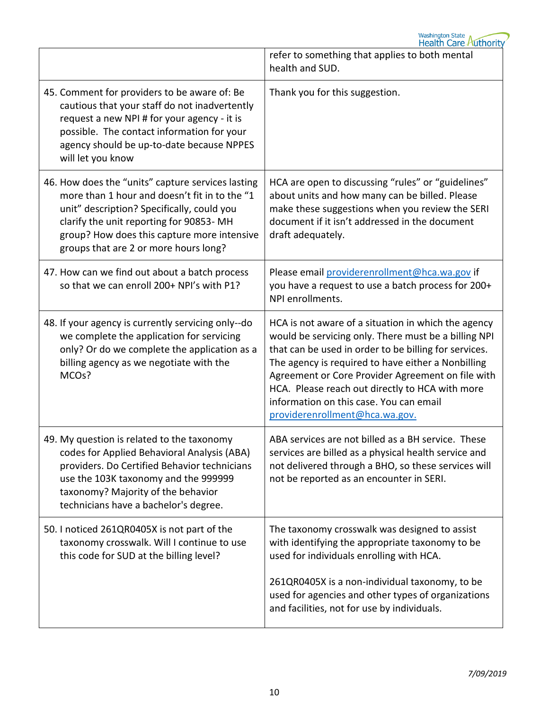Washington State<br>Health Care Authority

|                                                                                                                                                                                                                                                                                     | refer to something that applies to both mental<br>health and SUD.                                                                                                                                                                                                                                                                                                                                               |
|-------------------------------------------------------------------------------------------------------------------------------------------------------------------------------------------------------------------------------------------------------------------------------------|-----------------------------------------------------------------------------------------------------------------------------------------------------------------------------------------------------------------------------------------------------------------------------------------------------------------------------------------------------------------------------------------------------------------|
| 45. Comment for providers to be aware of: Be<br>cautious that your staff do not inadvertently<br>request a new NPI # for your agency - it is<br>possible. The contact information for your<br>agency should be up-to-date because NPPES<br>will let you know                        | Thank you for this suggestion.                                                                                                                                                                                                                                                                                                                                                                                  |
| 46. How does the "units" capture services lasting<br>more than 1 hour and doesn't fit in to the "1<br>unit" description? Specifically, could you<br>clarify the unit reporting for 90853-MH<br>group? How does this capture more intensive<br>groups that are 2 or more hours long? | HCA are open to discussing "rules" or "guidelines"<br>about units and how many can be billed. Please<br>make these suggestions when you review the SERI<br>document if it isn't addressed in the document<br>draft adequately.                                                                                                                                                                                  |
| 47. How can we find out about a batch process<br>so that we can enroll 200+ NPI's with P1?                                                                                                                                                                                          | Please email providerenrollment@hca.wa.gov if<br>you have a request to use a batch process for 200+<br>NPI enrollments.                                                                                                                                                                                                                                                                                         |
| 48. If your agency is currently servicing only--do<br>we complete the application for servicing<br>only? Or do we complete the application as a<br>billing agency as we negotiate with the<br>MCO <sub>s</sub> ?                                                                    | HCA is not aware of a situation in which the agency<br>would be servicing only. There must be a billing NPI<br>that can be used in order to be billing for services.<br>The agency is required to have either a Nonbilling<br>Agreement or Core Provider Agreement on file with<br>HCA. Please reach out directly to HCA with more<br>information on this case. You can email<br>providerenrollment@hca.wa.gov. |
| 49. My question is related to the taxonomy<br>codes for Applied Behavioral Analysis (ABA)<br>providers. Do Certified Behavior technicians<br>use the 103K taxonomy and the 999999<br>taxonomy? Majority of the behavior<br>technicians have a bachelor's degree.                    | ABA services are not billed as a BH service. These<br>services are billed as a physical health service and<br>not delivered through a BHO, so these services will<br>not be reported as an encounter in SERI.                                                                                                                                                                                                   |
| 50. I noticed 261QR0405X is not part of the<br>taxonomy crosswalk. Will I continue to use<br>this code for SUD at the billing level?                                                                                                                                                | The taxonomy crosswalk was designed to assist<br>with identifying the appropriate taxonomy to be<br>used for individuals enrolling with HCA.                                                                                                                                                                                                                                                                    |
|                                                                                                                                                                                                                                                                                     | 261QR0405X is a non-individual taxonomy, to be<br>used for agencies and other types of organizations<br>and facilities, not for use by individuals.                                                                                                                                                                                                                                                             |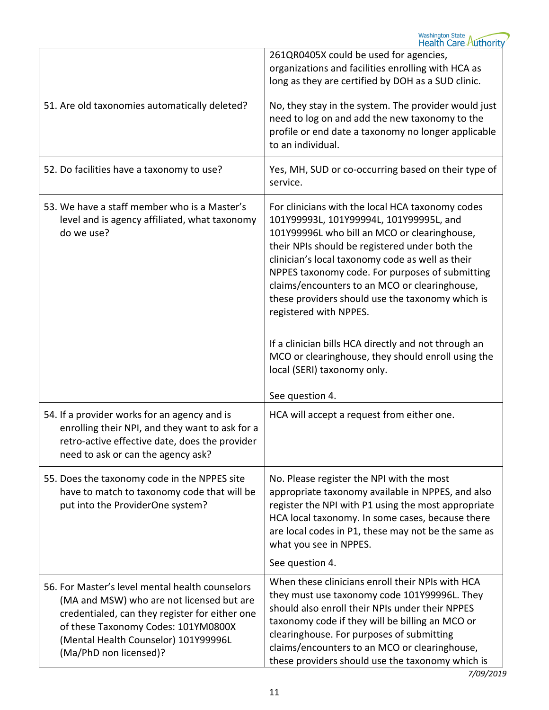|                                                                                                                                                                                                                                                         | 261QR0405X could be used for agencies,<br>organizations and facilities enrolling with HCA as<br>long as they are certified by DOH as a SUD clinic.                                                                                                                                                                                                                                                                                                                                                                                                                                                  |
|---------------------------------------------------------------------------------------------------------------------------------------------------------------------------------------------------------------------------------------------------------|-----------------------------------------------------------------------------------------------------------------------------------------------------------------------------------------------------------------------------------------------------------------------------------------------------------------------------------------------------------------------------------------------------------------------------------------------------------------------------------------------------------------------------------------------------------------------------------------------------|
| 51. Are old taxonomies automatically deleted?                                                                                                                                                                                                           | No, they stay in the system. The provider would just<br>need to log on and add the new taxonomy to the<br>profile or end date a taxonomy no longer applicable<br>to an individual.                                                                                                                                                                                                                                                                                                                                                                                                                  |
| 52. Do facilities have a taxonomy to use?                                                                                                                                                                                                               | Yes, MH, SUD or co-occurring based on their type of<br>service.                                                                                                                                                                                                                                                                                                                                                                                                                                                                                                                                     |
| 53. We have a staff member who is a Master's<br>level and is agency affiliated, what taxonomy<br>do we use?                                                                                                                                             | For clinicians with the local HCA taxonomy codes<br>101Y99993L, 101Y99994L, 101Y99995L, and<br>101Y99996L who bill an MCO or clearinghouse,<br>their NPIs should be registered under both the<br>clinician's local taxonomy code as well as their<br>NPPES taxonomy code. For purposes of submitting<br>claims/encounters to an MCO or clearinghouse,<br>these providers should use the taxonomy which is<br>registered with NPPES.<br>If a clinician bills HCA directly and not through an<br>MCO or clearinghouse, they should enroll using the<br>local (SERI) taxonomy only.<br>See question 4. |
| 54. If a provider works for an agency and is<br>enrolling their NPI, and they want to ask for a<br>retro-active effective date, does the provider<br>need to ask or can the agency ask?                                                                 | HCA will accept a request from either one.                                                                                                                                                                                                                                                                                                                                                                                                                                                                                                                                                          |
| 55. Does the taxonomy code in the NPPES site<br>have to match to taxonomy code that will be<br>put into the ProviderOne system?                                                                                                                         | No. Please register the NPI with the most<br>appropriate taxonomy available in NPPES, and also<br>register the NPI with P1 using the most appropriate<br>HCA local taxonomy. In some cases, because there<br>are local codes in P1, these may not be the same as<br>what you see in NPPES.<br>See question 4.                                                                                                                                                                                                                                                                                       |
| 56. For Master's level mental health counselors<br>(MA and MSW) who are not licensed but are<br>credentialed, can they register for either one<br>of these Taxonomy Codes: 101YM0800X<br>(Mental Health Counselor) 101Y99996L<br>(Ma/PhD non licensed)? | When these clinicians enroll their NPIs with HCA<br>they must use taxonomy code 101Y99996L. They<br>should also enroll their NPIs under their NPPES<br>taxonomy code if they will be billing an MCO or<br>clearinghouse. For purposes of submitting<br>claims/encounters to an MCO or clearinghouse,<br>these providers should use the taxonomy which is                                                                                                                                                                                                                                            |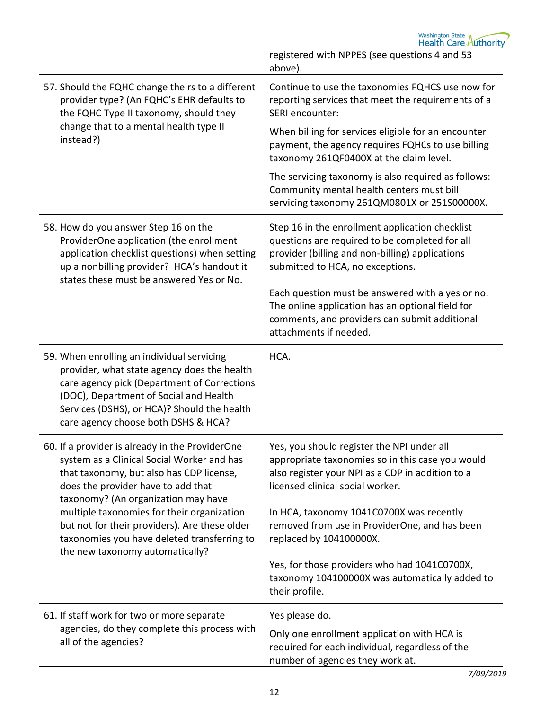|                                                                                                                                                                                                                                                                          | registered with NPPES (see questions 4 and 53<br>above).                                                                                                                                 |
|--------------------------------------------------------------------------------------------------------------------------------------------------------------------------------------------------------------------------------------------------------------------------|------------------------------------------------------------------------------------------------------------------------------------------------------------------------------------------|
| 57. Should the FQHC change theirs to a different<br>provider type? (An FQHC's EHR defaults to<br>the FQHC Type II taxonomy, should they                                                                                                                                  | Continue to use the taxonomies FQHCS use now for<br>reporting services that meet the requirements of a<br>SERI encounter:                                                                |
| change that to a mental health type II<br>instead?)                                                                                                                                                                                                                      | When billing for services eligible for an encounter<br>payment, the agency requires FQHCs to use billing<br>taxonomy 261QF0400X at the claim level.                                      |
|                                                                                                                                                                                                                                                                          | The servicing taxonomy is also required as follows:<br>Community mental health centers must bill<br>servicing taxonomy 261QM0801X or 251S00000X.                                         |
| 58. How do you answer Step 16 on the<br>ProviderOne application (the enrollment<br>application checklist questions) when setting<br>up a nonbilling provider? HCA's handout it<br>states these must be answered Yes or No.                                               | Step 16 in the enrollment application checklist<br>questions are required to be completed for all<br>provider (billing and non-billing) applications<br>submitted to HCA, no exceptions. |
|                                                                                                                                                                                                                                                                          | Each question must be answered with a yes or no.<br>The online application has an optional field for<br>comments, and providers can submit additional<br>attachments if needed.          |
| 59. When enrolling an individual servicing<br>provider, what state agency does the health<br>care agency pick (Department of Corrections<br>(DOC), Department of Social and Health<br>Services (DSHS), or HCA)? Should the health<br>care agency choose both DSHS & HCA? | HCA.                                                                                                                                                                                     |
| 60. If a provider is already in the ProviderOne<br>system as a Clinical Social Worker and has<br>that taxonomy, but also has CDP license,<br>does the provider have to add that                                                                                          | Yes, you should register the NPI under all<br>appropriate taxonomies so in this case you would<br>also register your NPI as a CDP in addition to a<br>licensed clinical social worker.   |
| taxonomy? (An organization may have<br>multiple taxonomies for their organization<br>but not for their providers). Are these older<br>taxonomies you have deleted transferring to<br>the new taxonomy automatically?                                                     | In HCA, taxonomy 1041C0700X was recently<br>removed from use in ProviderOne, and has been<br>replaced by 104100000X.                                                                     |
|                                                                                                                                                                                                                                                                          | Yes, for those providers who had 1041C0700X,<br>taxonomy 104100000X was automatically added to<br>their profile.                                                                         |
| 61. If staff work for two or more separate<br>agencies, do they complete this process with<br>all of the agencies?                                                                                                                                                       | Yes please do.<br>Only one enrollment application with HCA is<br>required for each individual, regardless of the<br>number of agencies they work at.                                     |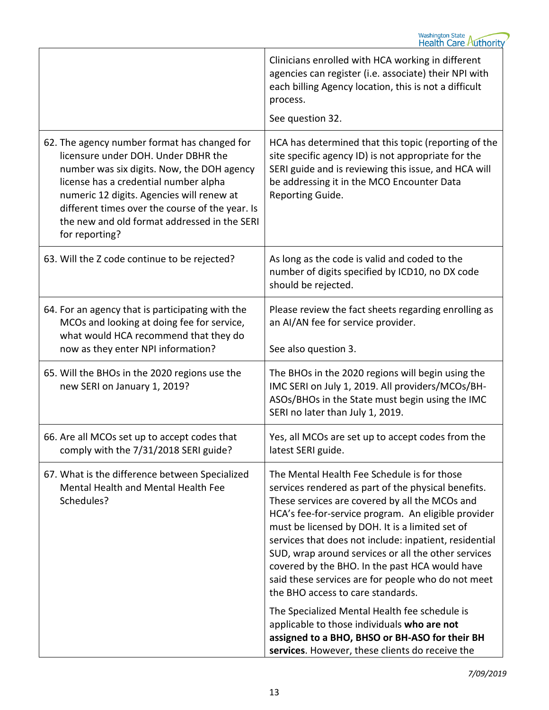|                                                                                                                                                                                                                                                                                                                                              | Clinicians enrolled with HCA working in different<br>agencies can register (i.e. associate) their NPI with<br>each billing Agency location, this is not a difficult<br>process.<br>See question 32.                                                                                                                                                                                                                                                                                                                          |
|----------------------------------------------------------------------------------------------------------------------------------------------------------------------------------------------------------------------------------------------------------------------------------------------------------------------------------------------|------------------------------------------------------------------------------------------------------------------------------------------------------------------------------------------------------------------------------------------------------------------------------------------------------------------------------------------------------------------------------------------------------------------------------------------------------------------------------------------------------------------------------|
| 62. The agency number format has changed for<br>licensure under DOH. Under DBHR the<br>number was six digits. Now, the DOH agency<br>license has a credential number alpha<br>numeric 12 digits. Agencies will renew at<br>different times over the course of the year. Is<br>the new and old format addressed in the SERI<br>for reporting? | HCA has determined that this topic (reporting of the<br>site specific agency ID) is not appropriate for the<br>SERI guide and is reviewing this issue, and HCA will<br>be addressing it in the MCO Encounter Data<br>Reporting Guide.                                                                                                                                                                                                                                                                                        |
| 63. Will the Z code continue to be rejected?                                                                                                                                                                                                                                                                                                 | As long as the code is valid and coded to the<br>number of digits specified by ICD10, no DX code<br>should be rejected.                                                                                                                                                                                                                                                                                                                                                                                                      |
| 64. For an agency that is participating with the<br>MCOs and looking at doing fee for service,<br>what would HCA recommend that they do<br>now as they enter NPI information?                                                                                                                                                                | Please review the fact sheets regarding enrolling as<br>an AI/AN fee for service provider.<br>See also question 3.                                                                                                                                                                                                                                                                                                                                                                                                           |
| 65. Will the BHOs in the 2020 regions use the<br>new SERI on January 1, 2019?                                                                                                                                                                                                                                                                | The BHOs in the 2020 regions will begin using the<br>IMC SERI on July 1, 2019. All providers/MCOs/BH-<br>ASOs/BHOs in the State must begin using the IMC<br>SERI no later than July 1, 2019.                                                                                                                                                                                                                                                                                                                                 |
| 66. Are all MCOs set up to accept codes that<br>comply with the 7/31/2018 SERI guide?                                                                                                                                                                                                                                                        | Yes, all MCOs are set up to accept codes from the<br>latest SERI guide.                                                                                                                                                                                                                                                                                                                                                                                                                                                      |
| 67. What is the difference between Specialized<br>Mental Health and Mental Health Fee<br>Schedules?                                                                                                                                                                                                                                          | The Mental Health Fee Schedule is for those<br>services rendered as part of the physical benefits.<br>These services are covered by all the MCOs and<br>HCA's fee-for-service program. An eligible provider<br>must be licensed by DOH. It is a limited set of<br>services that does not include: inpatient, residential<br>SUD, wrap around services or all the other services<br>covered by the BHO. In the past HCA would have<br>said these services are for people who do not meet<br>the BHO access to care standards. |
|                                                                                                                                                                                                                                                                                                                                              | The Specialized Mental Health fee schedule is<br>applicable to those individuals who are not<br>assigned to a BHO, BHSO or BH-ASO for their BH<br>services. However, these clients do receive the                                                                                                                                                                                                                                                                                                                            |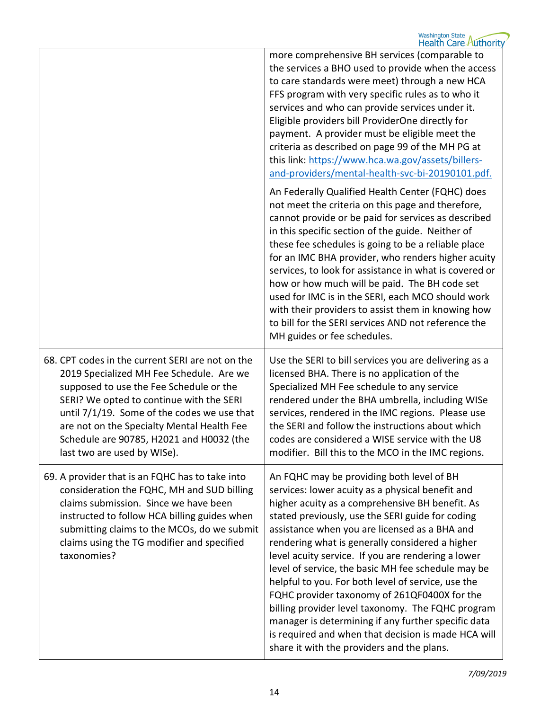|                                                                                                                                                                                                                                                                                                                                                             | more comprehensive BH services (comparable to<br>the services a BHO used to provide when the access<br>to care standards were meet) through a new HCA<br>FFS program with very specific rules as to who it<br>services and who can provide services under it.<br>Eligible providers bill ProviderOne directly for<br>payment. A provider must be eligible meet the<br>criteria as described on page 99 of the MH PG at<br>this link: https://www.hca.wa.gov/assets/billers-<br>and-providers/mental-health-svc-bi-20190101.pdf.                                                                                                                                                                                                             |
|-------------------------------------------------------------------------------------------------------------------------------------------------------------------------------------------------------------------------------------------------------------------------------------------------------------------------------------------------------------|---------------------------------------------------------------------------------------------------------------------------------------------------------------------------------------------------------------------------------------------------------------------------------------------------------------------------------------------------------------------------------------------------------------------------------------------------------------------------------------------------------------------------------------------------------------------------------------------------------------------------------------------------------------------------------------------------------------------------------------------|
|                                                                                                                                                                                                                                                                                                                                                             | An Federally Qualified Health Center (FQHC) does<br>not meet the criteria on this page and therefore,<br>cannot provide or be paid for services as described<br>in this specific section of the guide. Neither of<br>these fee schedules is going to be a reliable place<br>for an IMC BHA provider, who renders higher acuity<br>services, to look for assistance in what is covered or<br>how or how much will be paid. The BH code set<br>used for IMC is in the SERI, each MCO should work<br>with their providers to assist them in knowing how<br>to bill for the SERI services AND not reference the<br>MH guides or fee schedules.                                                                                                  |
| 68. CPT codes in the current SERI are not on the<br>2019 Specialized MH Fee Schedule. Are we<br>supposed to use the Fee Schedule or the<br>SERI? We opted to continue with the SERI<br>until 7/1/19. Some of the codes we use that<br>are not on the Specialty Mental Health Fee<br>Schedule are 90785, H2021 and H0032 (the<br>last two are used by WISe). | Use the SERI to bill services you are delivering as a<br>licensed BHA. There is no application of the<br>Specialized MH Fee schedule to any service<br>rendered under the BHA umbrella, including WISe<br>services, rendered in the IMC regions. Please use<br>the SERI and follow the instructions about which<br>codes are considered a WISE service with the U8<br>modifier. Bill this to the MCO in the IMC regions.                                                                                                                                                                                                                                                                                                                    |
| 69. A provider that is an FQHC has to take into<br>consideration the FQHC, MH and SUD billing<br>claims submission. Since we have been<br>instructed to follow HCA billing guides when<br>submitting claims to the MCOs, do we submit<br>claims using the TG modifier and specified<br>taxonomies?                                                          | An FQHC may be providing both level of BH<br>services: lower acuity as a physical benefit and<br>higher acuity as a comprehensive BH benefit. As<br>stated previously, use the SERI guide for coding<br>assistance when you are licensed as a BHA and<br>rendering what is generally considered a higher<br>level acuity service. If you are rendering a lower<br>level of service, the basic MH fee schedule may be<br>helpful to you. For both level of service, use the<br>FQHC provider taxonomy of 261QF0400X for the<br>billing provider level taxonomy. The FQHC program<br>manager is determining if any further specific data<br>is required and when that decision is made HCA will<br>share it with the providers and the plans. |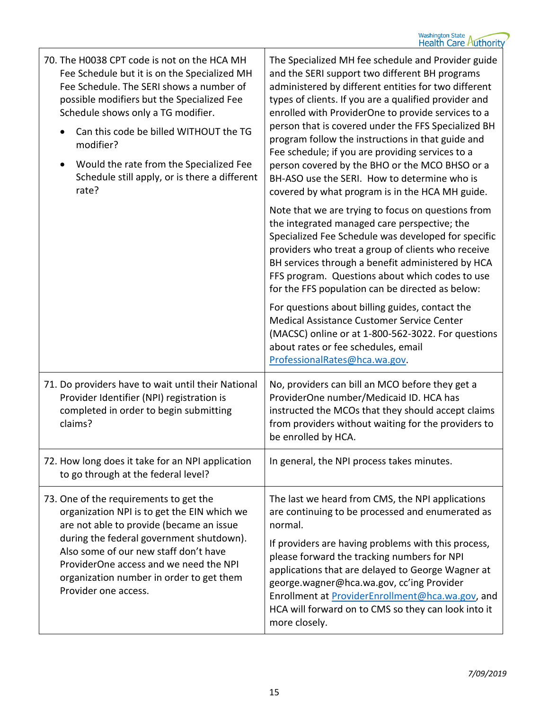| 70. The H0038 CPT code is not on the HCA MH<br>Fee Schedule but it is on the Specialized MH<br>Fee Schedule. The SERI shows a number of<br>possible modifiers but the Specialized Fee<br>Schedule shows only a TG modifier.<br>Can this code be billed WITHOUT the TG<br>modifier?<br>Would the rate from the Specialized Fee<br>Schedule still apply, or is there a different<br>rate? | The Specialized MH fee schedule and Provider guide<br>and the SERI support two different BH programs<br>administered by different entities for two different<br>types of clients. If you are a qualified provider and<br>enrolled with ProviderOne to provide services to a<br>person that is covered under the FFS Specialized BH<br>program follow the instructions in that guide and<br>Fee schedule; if you are providing services to a<br>person covered by the BHO or the MCO BHSO or a<br>BH-ASO use the SERI. How to determine who is<br>covered by what program is in the HCA MH guide. |
|-----------------------------------------------------------------------------------------------------------------------------------------------------------------------------------------------------------------------------------------------------------------------------------------------------------------------------------------------------------------------------------------|--------------------------------------------------------------------------------------------------------------------------------------------------------------------------------------------------------------------------------------------------------------------------------------------------------------------------------------------------------------------------------------------------------------------------------------------------------------------------------------------------------------------------------------------------------------------------------------------------|
|                                                                                                                                                                                                                                                                                                                                                                                         | Note that we are trying to focus on questions from<br>the integrated managed care perspective; the<br>Specialized Fee Schedule was developed for specific<br>providers who treat a group of clients who receive<br>BH services through a benefit administered by HCA<br>FFS program. Questions about which codes to use<br>for the FFS population can be directed as below:                                                                                                                                                                                                                      |
|                                                                                                                                                                                                                                                                                                                                                                                         | For questions about billing guides, contact the<br>Medical Assistance Customer Service Center<br>(MACSC) online or at 1-800-562-3022. For questions<br>about rates or fee schedules, email<br>ProfessionalRates@hca.wa.gov.                                                                                                                                                                                                                                                                                                                                                                      |
| 71. Do providers have to wait until their National<br>Provider Identifier (NPI) registration is<br>completed in order to begin submitting<br>claims?                                                                                                                                                                                                                                    | No, providers can bill an MCO before they get a<br>ProviderOne number/Medicaid ID. HCA has<br>instructed the MCOs that they should accept claims<br>from providers without waiting for the providers to<br>be enrolled by HCA.                                                                                                                                                                                                                                                                                                                                                                   |
| 72. How long does it take for an NPI application<br>to go through at the federal level?                                                                                                                                                                                                                                                                                                 | In general, the NPI process takes minutes.                                                                                                                                                                                                                                                                                                                                                                                                                                                                                                                                                       |
| 73. One of the requirements to get the<br>organization NPI is to get the EIN which we<br>are not able to provide (became an issue<br>during the federal government shutdown).<br>Also some of our new staff don't have                                                                                                                                                                  | The last we heard from CMS, the NPI applications<br>are continuing to be processed and enumerated as<br>normal.<br>If providers are having problems with this process,<br>please forward the tracking numbers for NPI                                                                                                                                                                                                                                                                                                                                                                            |
| ProviderOne access and we need the NPI<br>organization number in order to get them<br>Provider one access.                                                                                                                                                                                                                                                                              | applications that are delayed to George Wagner at<br>george.wagner@hca.wa.gov, cc'ing Provider<br>Enrollment at ProviderEnrollment@hca.wa.gov, and<br>HCA will forward on to CMS so they can look into it<br>more closely.                                                                                                                                                                                                                                                                                                                                                                       |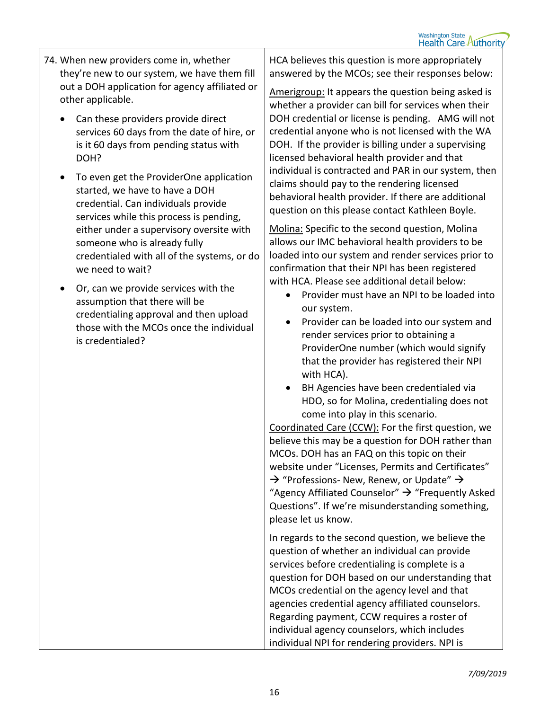- 74. When new providers come in, whether they're new to our system, we have them fill out a DOH application for agency affiliated or other applicable.
	- Can these providers provide direct services 60 days from the date of hire, or is it 60 days from pending status with DOH?
	- To even get the ProviderOne application started, we have to have a DOH credential. Can individuals provide services while this process is pending, either under a supervisory oversite with someone who is already fully credentialed with all of the systems, or do we need to wait?
	- Or, can we provide services with the assumption that there will be credentialing approval and then upload those with the MCOs once the individual is credentialed?

HCA believes this question is more appropriately answered by the MCOs; see their responses below:

Amerigroup: It appears the question being asked is whether a provider can bill for services when their DOH credential or license is pending. AMG will not credential anyone who is not licensed with the WA DOH. If the provider is billing under a supervising licensed behavioral health provider and that individual is contracted and PAR in our system, then claims should pay to the rendering licensed behavioral health provider. If there are additional question on this please contact Kathleen Boyle.

Molina: Specific to the second question, Molina allows our IMC behavioral health providers to be loaded into our system and render services prior to confirmation that their NPI has been registered with HCA. Please see additional detail below:

- Provider must have an NPI to be loaded into our system.
- Provider can be loaded into our system and render services prior to obtaining a ProviderOne number (which would signify that the provider has registered their NPI with HCA).
- BH Agencies have been credentialed via HDO, so for Molina, credentialing does not come into play in this scenario.

Coordinated Care (CCW): For the first question, we believe this may be a question for DOH rather than MCOs. DOH has an FAQ on this topic on their website under "Licenses, Permits and Certificates"  $\rightarrow$  "Professions- New, Renew, or Update"  $\rightarrow$ "Agency Affiliated Counselor"  $\rightarrow$  "Frequently Asked Questions". If we're misunderstanding something, please let us know.

In regards to the second question, we believe the question of whether an individual can provide services before credentialing is complete is a question for DOH based on our understanding that MCOs credential on the agency level and that agencies credential agency affiliated counselors. Regarding payment, CCW requires a roster of individual agency counselors, which includes individual NPI for rendering providers. NPI is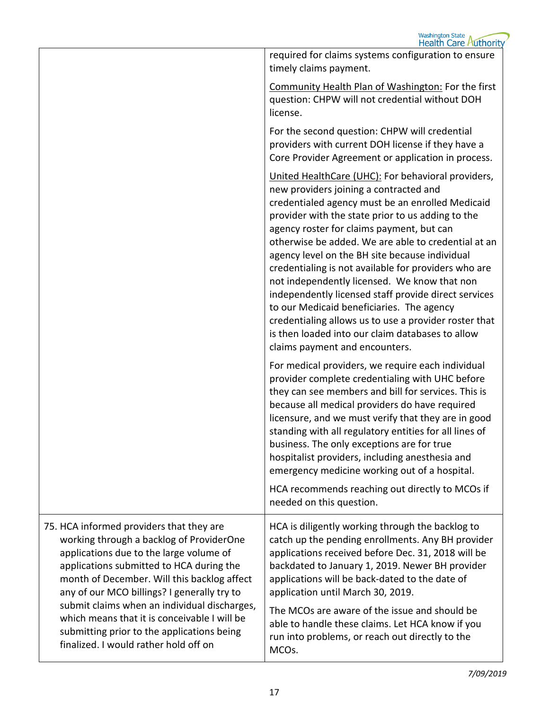|                                                                                                                                                                                                                                                                                                                           | required for claims systems configuration to ensure<br>timely claims payment.<br>Community Health Plan of Washington: For the first<br>question: CHPW will not credential without DOH<br>license.                                                                                                                                                                                                                                                                                                                                                                                                                                                                                                                       |
|---------------------------------------------------------------------------------------------------------------------------------------------------------------------------------------------------------------------------------------------------------------------------------------------------------------------------|-------------------------------------------------------------------------------------------------------------------------------------------------------------------------------------------------------------------------------------------------------------------------------------------------------------------------------------------------------------------------------------------------------------------------------------------------------------------------------------------------------------------------------------------------------------------------------------------------------------------------------------------------------------------------------------------------------------------------|
|                                                                                                                                                                                                                                                                                                                           | For the second question: CHPW will credential<br>providers with current DOH license if they have a<br>Core Provider Agreement or application in process.                                                                                                                                                                                                                                                                                                                                                                                                                                                                                                                                                                |
|                                                                                                                                                                                                                                                                                                                           | United HealthCare (UHC): For behavioral providers,<br>new providers joining a contracted and<br>credentialed agency must be an enrolled Medicaid<br>provider with the state prior to us adding to the<br>agency roster for claims payment, but can<br>otherwise be added. We are able to credential at an<br>agency level on the BH site because individual<br>credentialing is not available for providers who are<br>not independently licensed. We know that non<br>independently licensed staff provide direct services<br>to our Medicaid beneficiaries. The agency<br>credentialing allows us to use a provider roster that<br>is then loaded into our claim databases to allow<br>claims payment and encounters. |
|                                                                                                                                                                                                                                                                                                                           | For medical providers, we require each individual<br>provider complete credentialing with UHC before<br>they can see members and bill for services. This is<br>because all medical providers do have required<br>licensure, and we must verify that they are in good<br>standing with all regulatory entities for all lines of<br>business. The only exceptions are for true<br>hospitalist providers, including anesthesia and<br>emergency medicine working out of a hospital.<br>HCA recommends reaching out directly to MCOs if                                                                                                                                                                                     |
|                                                                                                                                                                                                                                                                                                                           | needed on this question.                                                                                                                                                                                                                                                                                                                                                                                                                                                                                                                                                                                                                                                                                                |
| 75. HCA informed providers that they are<br>working through a backlog of ProviderOne<br>applications due to the large volume of<br>applications submitted to HCA during the<br>month of December. Will this backlog affect<br>any of our MCO billings? I generally try to<br>submit claims when an individual discharges, | HCA is diligently working through the backlog to<br>catch up the pending enrollments. Any BH provider<br>applications received before Dec. 31, 2018 will be<br>backdated to January 1, 2019. Newer BH provider<br>applications will be back-dated to the date of<br>application until March 30, 2019.<br>The MCOs are aware of the issue and should be                                                                                                                                                                                                                                                                                                                                                                  |
| which means that it is conceivable I will be<br>submitting prior to the applications being<br>finalized. I would rather hold off on                                                                                                                                                                                       | able to handle these claims. Let HCA know if you<br>run into problems, or reach out directly to the<br>MCOs.                                                                                                                                                                                                                                                                                                                                                                                                                                                                                                                                                                                                            |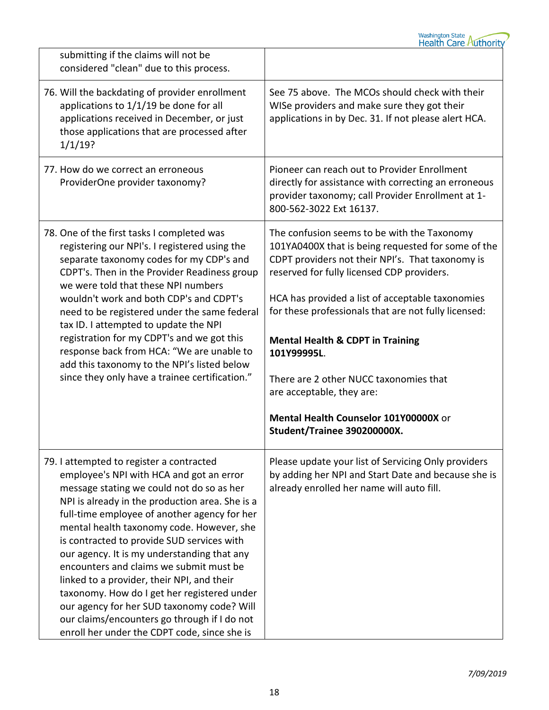| submitting if the claims will not be<br>considered "clean" due to this process.                                                                                                                                                                                                                                                                                                                                                                                                                                                                                                                                                                                      |                                                                                                                                                                                                                                                                                                                                                                                                                                                                                                                              |
|----------------------------------------------------------------------------------------------------------------------------------------------------------------------------------------------------------------------------------------------------------------------------------------------------------------------------------------------------------------------------------------------------------------------------------------------------------------------------------------------------------------------------------------------------------------------------------------------------------------------------------------------------------------------|------------------------------------------------------------------------------------------------------------------------------------------------------------------------------------------------------------------------------------------------------------------------------------------------------------------------------------------------------------------------------------------------------------------------------------------------------------------------------------------------------------------------------|
| 76. Will the backdating of provider enrollment<br>applications to 1/1/19 be done for all<br>applications received in December, or just<br>those applications that are processed after<br>1/1/19?                                                                                                                                                                                                                                                                                                                                                                                                                                                                     | See 75 above. The MCOs should check with their<br>WISe providers and make sure they got their<br>applications in by Dec. 31. If not please alert HCA.                                                                                                                                                                                                                                                                                                                                                                        |
| 77. How do we correct an erroneous<br>ProviderOne provider taxonomy?                                                                                                                                                                                                                                                                                                                                                                                                                                                                                                                                                                                                 | Pioneer can reach out to Provider Enrollment<br>directly for assistance with correcting an erroneous<br>provider taxonomy; call Provider Enrollment at 1-<br>800-562-3022 Ext 16137.                                                                                                                                                                                                                                                                                                                                         |
| 78. One of the first tasks I completed was<br>registering our NPI's. I registered using the<br>separate taxonomy codes for my CDP's and<br>CDPT's. Then in the Provider Readiness group<br>we were told that these NPI numbers<br>wouldn't work and both CDP's and CDPT's<br>need to be registered under the same federal<br>tax ID. I attempted to update the NPI<br>registration for my CDPT's and we got this<br>response back from HCA: "We are unable to<br>add this taxonomy to the NPI's listed below<br>since they only have a trainee certification."                                                                                                       | The confusion seems to be with the Taxonomy<br>101YA0400X that is being requested for some of the<br>CDPT providers not their NPI's. That taxonomy is<br>reserved for fully licensed CDP providers.<br>HCA has provided a list of acceptable taxonomies<br>for these professionals that are not fully licensed:<br><b>Mental Health &amp; CDPT in Training</b><br>101Y99995L.<br>There are 2 other NUCC taxonomies that<br>are acceptable, they are:<br>Mental Health Counselor 101Y00000X or<br>Student/Trainee 390200000X. |
| 79. I attempted to register a contracted<br>employee's NPI with HCA and got an error<br>message stating we could not do so as her<br>NPI is already in the production area. She is a<br>full-time employee of another agency for her<br>mental health taxonomy code. However, she<br>is contracted to provide SUD services with<br>our agency. It is my understanding that any<br>encounters and claims we submit must be<br>linked to a provider, their NPI, and their<br>taxonomy. How do I get her registered under<br>our agency for her SUD taxonomy code? Will<br>our claims/encounters go through if I do not<br>enroll her under the CDPT code, since she is | Please update your list of Servicing Only providers<br>by adding her NPI and Start Date and because she is<br>already enrolled her name will auto fill.                                                                                                                                                                                                                                                                                                                                                                      |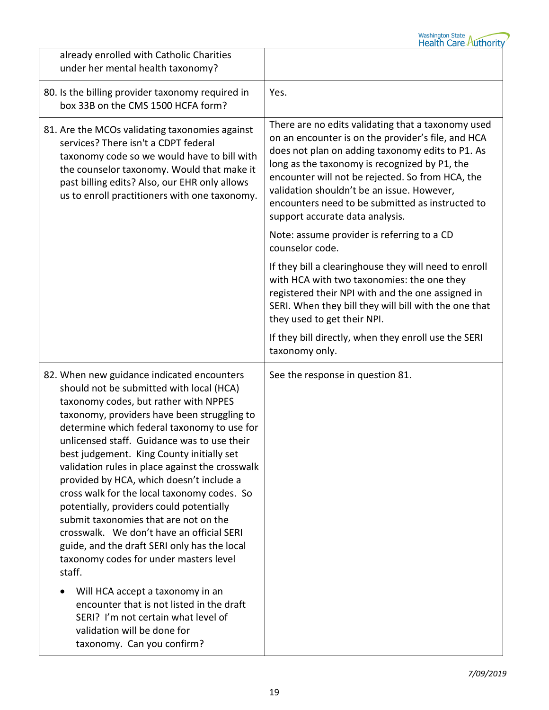| already enrolled with Catholic Charities<br>under her mental health taxonomy?                                                                                                                                                                                                                                                                                                                                                                                                                                                                                                                                                                                                                                                                                                                                                                                                                      |                                                                                                                                                                                                                                                                                                                                                                                                        |
|----------------------------------------------------------------------------------------------------------------------------------------------------------------------------------------------------------------------------------------------------------------------------------------------------------------------------------------------------------------------------------------------------------------------------------------------------------------------------------------------------------------------------------------------------------------------------------------------------------------------------------------------------------------------------------------------------------------------------------------------------------------------------------------------------------------------------------------------------------------------------------------------------|--------------------------------------------------------------------------------------------------------------------------------------------------------------------------------------------------------------------------------------------------------------------------------------------------------------------------------------------------------------------------------------------------------|
| 80. Is the billing provider taxonomy required in<br>box 33B on the CMS 1500 HCFA form?                                                                                                                                                                                                                                                                                                                                                                                                                                                                                                                                                                                                                                                                                                                                                                                                             | Yes.                                                                                                                                                                                                                                                                                                                                                                                                   |
| 81. Are the MCOs validating taxonomies against<br>services? There isn't a CDPT federal<br>taxonomy code so we would have to bill with<br>the counselor taxonomy. Would that make it<br>past billing edits? Also, our EHR only allows<br>us to enroll practitioners with one taxonomy.                                                                                                                                                                                                                                                                                                                                                                                                                                                                                                                                                                                                              | There are no edits validating that a taxonomy used<br>on an encounter is on the provider's file, and HCA<br>does not plan on adding taxonomy edits to P1. As<br>long as the taxonomy is recognized by P1, the<br>encounter will not be rejected. So from HCA, the<br>validation shouldn't be an issue. However,<br>encounters need to be submitted as instructed to<br>support accurate data analysis. |
|                                                                                                                                                                                                                                                                                                                                                                                                                                                                                                                                                                                                                                                                                                                                                                                                                                                                                                    | Note: assume provider is referring to a CD<br>counselor code.                                                                                                                                                                                                                                                                                                                                          |
|                                                                                                                                                                                                                                                                                                                                                                                                                                                                                                                                                                                                                                                                                                                                                                                                                                                                                                    | If they bill a clearinghouse they will need to enroll<br>with HCA with two taxonomies: the one they<br>registered their NPI with and the one assigned in<br>SERI. When they bill they will bill with the one that<br>they used to get their NPI.                                                                                                                                                       |
|                                                                                                                                                                                                                                                                                                                                                                                                                                                                                                                                                                                                                                                                                                                                                                                                                                                                                                    | If they bill directly, when they enroll use the SERI<br>taxonomy only.                                                                                                                                                                                                                                                                                                                                 |
| 82. When new guidance indicated encounters<br>should not be submitted with local (HCA)<br>taxonomy codes, but rather with NPPES<br>taxonomy, providers have been struggling to<br>determine which federal taxonomy to use for<br>unlicensed staff. Guidance was to use their<br>best judgement. King County initially set<br>validation rules in place against the crosswalk<br>provided by HCA, which doesn't include a<br>cross walk for the local taxonomy codes. So<br>potentially, providers could potentially<br>submit taxonomies that are not on the<br>crosswalk. We don't have an official SERI<br>guide, and the draft SERI only has the local<br>taxonomy codes for under masters level<br>staff.<br>Will HCA accept a taxonomy in an<br>encounter that is not listed in the draft<br>SERI? I'm not certain what level of<br>validation will be done for<br>taxonomy. Can you confirm? | See the response in question 81.                                                                                                                                                                                                                                                                                                                                                                       |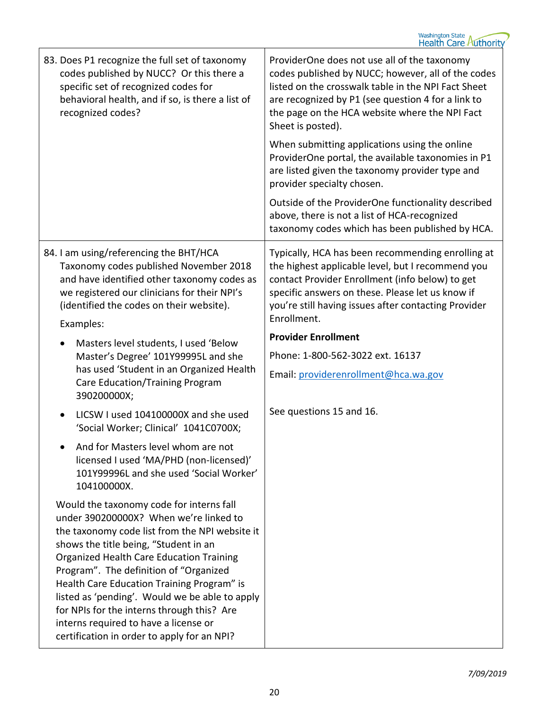| 83. Does P1 recognize the full set of taxonomy<br>codes published by NUCC? Or this there a<br>specific set of recognized codes for<br>behavioral health, and if so, is there a list of<br>recognized codes?                                                                                                                                                                                                                                                                                                      | ProviderOne does not use all of the taxonomy<br>codes published by NUCC; however, all of the codes<br>listed on the crosswalk table in the NPI Fact Sheet<br>are recognized by P1 (see question 4 for a link to<br>the page on the HCA website where the NPI Fact<br>Sheet is posted). |
|------------------------------------------------------------------------------------------------------------------------------------------------------------------------------------------------------------------------------------------------------------------------------------------------------------------------------------------------------------------------------------------------------------------------------------------------------------------------------------------------------------------|----------------------------------------------------------------------------------------------------------------------------------------------------------------------------------------------------------------------------------------------------------------------------------------|
|                                                                                                                                                                                                                                                                                                                                                                                                                                                                                                                  | When submitting applications using the online<br>ProviderOne portal, the available taxonomies in P1<br>are listed given the taxonomy provider type and<br>provider specialty chosen.                                                                                                   |
|                                                                                                                                                                                                                                                                                                                                                                                                                                                                                                                  | Outside of the ProviderOne functionality described<br>above, there is not a list of HCA-recognized<br>taxonomy codes which has been published by HCA.                                                                                                                                  |
| 84. I am using/referencing the BHT/HCA<br>Taxonomy codes published November 2018<br>and have identified other taxonomy codes as<br>we registered our clinicians for their NPI's<br>(identified the codes on their website).                                                                                                                                                                                                                                                                                      | Typically, HCA has been recommending enrolling at<br>the highest applicable level, but I recommend you<br>contact Provider Enrollment (info below) to get<br>specific answers on these. Please let us know if<br>you're still having issues after contacting Provider<br>Enrollment.   |
| Examples:                                                                                                                                                                                                                                                                                                                                                                                                                                                                                                        | <b>Provider Enrollment</b>                                                                                                                                                                                                                                                             |
| Masters level students, I used 'Below<br>$\bullet$<br>Master's Degree' 101Y99995L and she                                                                                                                                                                                                                                                                                                                                                                                                                        | Phone: 1-800-562-3022 ext. 16137                                                                                                                                                                                                                                                       |
| has used 'Student in an Organized Health<br>Care Education/Training Program<br>390200000X;                                                                                                                                                                                                                                                                                                                                                                                                                       | Email: providerenrollment@hca.wa.gov                                                                                                                                                                                                                                                   |
| LICSW I used 104100000X and she used<br>'Social Worker; Clinical' 1041C0700X;                                                                                                                                                                                                                                                                                                                                                                                                                                    | See questions 15 and 16.                                                                                                                                                                                                                                                               |
| And for Masters level whom are not<br>licensed I used 'MA/PHD (non-licensed)'<br>101Y99996L and she used 'Social Worker'<br>104100000X.                                                                                                                                                                                                                                                                                                                                                                          |                                                                                                                                                                                                                                                                                        |
| Would the taxonomy code for interns fall<br>under 390200000X? When we're linked to<br>the taxonomy code list from the NPI website it<br>shows the title being, "Student in an<br><b>Organized Health Care Education Training</b><br>Program". The definition of "Organized<br>Health Care Education Training Program" is<br>listed as 'pending'. Would we be able to apply<br>for NPIs for the interns through this? Are<br>interns required to have a license or<br>certification in order to apply for an NPI? |                                                                                                                                                                                                                                                                                        |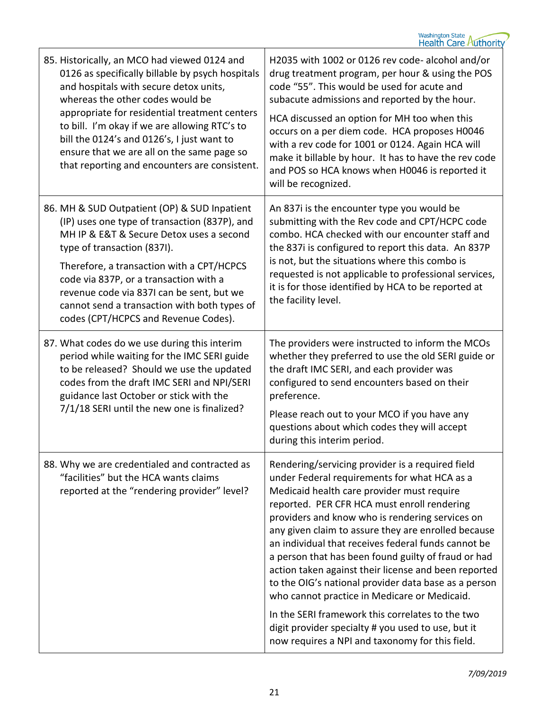| H2035 with 1002 or 0126 rev code- alcohol and/or<br>drug treatment program, per hour & using the POS<br>code "55". This would be used for acute and<br>subacute admissions and reported by the hour.<br>HCA discussed an option for MH too when this<br>occurs on a per diem code. HCA proposes H0046<br>with a rev code for 1001 or 0124. Again HCA will<br>make it billable by hour. It has to have the rev code<br>and POS so HCA knows when H0046 is reported it<br>will be recognized.                                                                                                                                                                                                                                                        |
|----------------------------------------------------------------------------------------------------------------------------------------------------------------------------------------------------------------------------------------------------------------------------------------------------------------------------------------------------------------------------------------------------------------------------------------------------------------------------------------------------------------------------------------------------------------------------------------------------------------------------------------------------------------------------------------------------------------------------------------------------|
| An 837i is the encounter type you would be<br>submitting with the Rev code and CPT/HCPC code<br>combo. HCA checked with our encounter staff and<br>the 837i is configured to report this data. An 837P<br>is not, but the situations where this combo is<br>requested is not applicable to professional services,<br>it is for those identified by HCA to be reported at<br>the facility level.                                                                                                                                                                                                                                                                                                                                                    |
| The providers were instructed to inform the MCOs<br>whether they preferred to use the old SERI guide or<br>the draft IMC SERI, and each provider was<br>configured to send encounters based on their<br>preference.<br>Please reach out to your MCO if you have any<br>questions about which codes they will accept<br>during this interim period.                                                                                                                                                                                                                                                                                                                                                                                                 |
| Rendering/servicing provider is a required field<br>under Federal requirements for what HCA as a<br>Medicaid health care provider must require<br>reported. PER CFR HCA must enroll rendering<br>providers and know who is rendering services on<br>any given claim to assure they are enrolled because<br>an individual that receives federal funds cannot be<br>a person that has been found guilty of fraud or had<br>action taken against their license and been reported<br>to the OIG's national provider data base as a person<br>who cannot practice in Medicare or Medicaid.<br>In the SERI framework this correlates to the two<br>digit provider specialty # you used to use, but it<br>now requires a NPI and taxonomy for this field. |
|                                                                                                                                                                                                                                                                                                                                                                                                                                                                                                                                                                                                                                                                                                                                                    |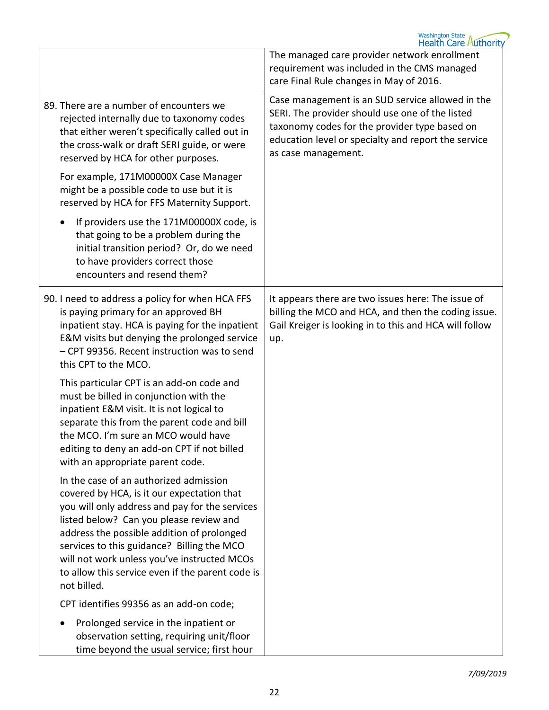|                                                                                                                                                                                                                                                                                                                                                                                                 | <b>Washington State</b><br><b>Health Care Authority</b>                                                                                                                                                                            |
|-------------------------------------------------------------------------------------------------------------------------------------------------------------------------------------------------------------------------------------------------------------------------------------------------------------------------------------------------------------------------------------------------|------------------------------------------------------------------------------------------------------------------------------------------------------------------------------------------------------------------------------------|
|                                                                                                                                                                                                                                                                                                                                                                                                 | The managed care provider network enrollment<br>requirement was included in the CMS managed<br>care Final Rule changes in May of 2016.                                                                                             |
| 89. There are a number of encounters we<br>rejected internally due to taxonomy codes<br>that either weren't specifically called out in<br>the cross-walk or draft SERI guide, or were<br>reserved by HCA for other purposes.                                                                                                                                                                    | Case management is an SUD service allowed in the<br>SERI. The provider should use one of the listed<br>taxonomy codes for the provider type based on<br>education level or specialty and report the service<br>as case management. |
| For example, 171M00000X Case Manager<br>might be a possible code to use but it is<br>reserved by HCA for FFS Maternity Support.                                                                                                                                                                                                                                                                 |                                                                                                                                                                                                                                    |
| If providers use the 171M00000X code, is<br>that going to be a problem during the<br>initial transition period? Or, do we need<br>to have providers correct those<br>encounters and resend them?                                                                                                                                                                                                |                                                                                                                                                                                                                                    |
| 90. I need to address a policy for when HCA FFS<br>is paying primary for an approved BH<br>inpatient stay. HCA is paying for the inpatient<br>E&M visits but denying the prolonged service<br>- CPT 99356. Recent instruction was to send<br>this CPT to the MCO.                                                                                                                               | It appears there are two issues here: The issue of<br>billing the MCO and HCA, and then the coding issue.<br>Gail Kreiger is looking in to this and HCA will follow<br>up.                                                         |
| This particular CPT is an add-on code and<br>must be billed in conjunction with the<br>inpatient E&M visit. It is not logical to<br>separate this from the parent code and bill<br>the MCO. I'm sure an MCO would have<br>editing to deny an add-on CPT if not billed<br>with an appropriate parent code.                                                                                       |                                                                                                                                                                                                                                    |
| In the case of an authorized admission<br>covered by HCA, is it our expectation that<br>you will only address and pay for the services<br>listed below? Can you please review and<br>address the possible addition of prolonged<br>services to this guidance? Billing the MCO<br>will not work unless you've instructed MCOs<br>to allow this service even if the parent code is<br>not billed. |                                                                                                                                                                                                                                    |
| CPT identifies 99356 as an add-on code;                                                                                                                                                                                                                                                                                                                                                         |                                                                                                                                                                                                                                    |
| Prolonged service in the inpatient or<br>observation setting, requiring unit/floor<br>time beyond the usual service; first hour                                                                                                                                                                                                                                                                 |                                                                                                                                                                                                                                    |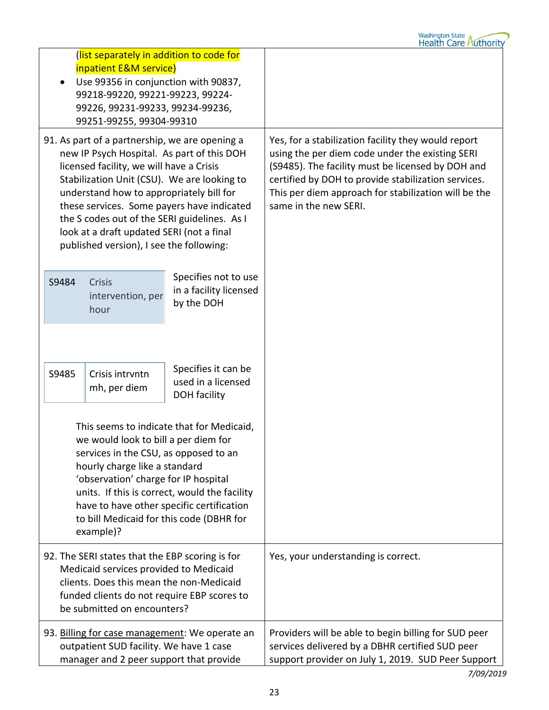| (list separately in addition to code for<br>inpatient E&M service)<br>Use 99356 in conjunction with 90837,<br>99218-99220, 99221-99223, 99224-<br>99226, 99231-99233, 99234-99236,<br>99251-99255, 99304-99310                                                                                                                                                                                                             |                                     |                                                                  |                                                                                                                                                                                                                                                                                                     |
|----------------------------------------------------------------------------------------------------------------------------------------------------------------------------------------------------------------------------------------------------------------------------------------------------------------------------------------------------------------------------------------------------------------------------|-------------------------------------|------------------------------------------------------------------|-----------------------------------------------------------------------------------------------------------------------------------------------------------------------------------------------------------------------------------------------------------------------------------------------------|
| 91. As part of a partnership, we are opening a<br>new IP Psych Hospital. As part of this DOH<br>licensed facility, we will have a Crisis<br>Stabilization Unit (CSU). We are looking to<br>understand how to appropriately bill for<br>these services. Some payers have indicated<br>the S codes out of the SERI guidelines. As I<br>look at a draft updated SERI (not a final<br>published version), I see the following: |                                     |                                                                  | Yes, for a stabilization facility they would report<br>using the per diem code under the existing SERI<br>(S9485). The facility must be licensed by DOH and<br>certified by DOH to provide stabilization services.<br>This per diem approach for stabilization will be the<br>same in the new SERI. |
| S9484                                                                                                                                                                                                                                                                                                                                                                                                                      | Crisis<br>intervention, per<br>hour | Specifies not to use<br>in a facility licensed<br>by the DOH     |                                                                                                                                                                                                                                                                                                     |
|                                                                                                                                                                                                                                                                                                                                                                                                                            |                                     |                                                                  |                                                                                                                                                                                                                                                                                                     |
| S9485                                                                                                                                                                                                                                                                                                                                                                                                                      | Crisis intrvntn<br>mh, per diem     | Specifies it can be<br>used in a licensed<br><b>DOH</b> facility |                                                                                                                                                                                                                                                                                                     |
| This seems to indicate that for Medicaid,<br>we would look to bill a per diem for<br>services in the CSU, as opposed to an<br>hourly charge like a standard<br>'observation' charge for IP hospital<br>units. If this is correct, would the facility<br>have to have other specific certification<br>to bill Medicaid for this code (DBHR for<br>example)?                                                                 |                                     |                                                                  |                                                                                                                                                                                                                                                                                                     |
| 92. The SERI states that the EBP scoring is for<br>Medicaid services provided to Medicaid<br>clients. Does this mean the non-Medicaid<br>funded clients do not require EBP scores to<br>be submitted on encounters?                                                                                                                                                                                                        |                                     |                                                                  | Yes, your understanding is correct.                                                                                                                                                                                                                                                                 |
| 93. Billing for case management: We operate an<br>outpatient SUD facility. We have 1 case<br>manager and 2 peer support that provide                                                                                                                                                                                                                                                                                       |                                     |                                                                  | Providers will be able to begin billing for SUD peer<br>services delivered by a DBHR certified SUD peer<br>support provider on July 1, 2019. SUD Peer Support                                                                                                                                       |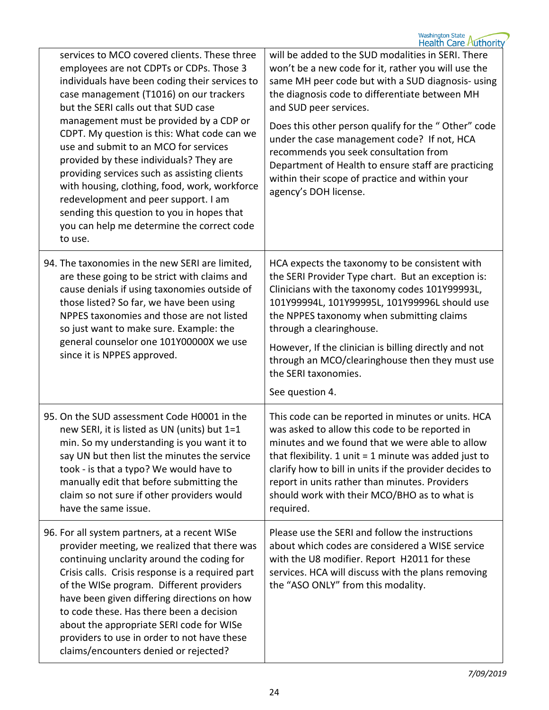| services to MCO covered clients. These three<br>employees are not CDPTs or CDPs. Those 3<br>individuals have been coding their services to<br>case management (T1016) on our trackers<br>but the SERI calls out that SUD case<br>management must be provided by a CDP or<br>CDPT. My question is this: What code can we<br>use and submit to an MCO for services<br>provided by these individuals? They are<br>providing services such as assisting clients<br>with housing, clothing, food, work, workforce<br>redevelopment and peer support. I am<br>sending this question to you in hopes that<br>you can help me determine the correct code<br>to use. | will be added to the SUD modalities in SERI. There<br>won't be a new code for it, rather you will use the<br>same MH peer code but with a SUD diagnosis- using<br>the diagnosis code to differentiate between MH<br>and SUD peer services.<br>Does this other person qualify for the "Other" code<br>under the case management code? If not, HCA<br>recommends you seek consultation from<br>Department of Health to ensure staff are practicing<br>within their scope of practice and within your<br>agency's DOH license. |
|-------------------------------------------------------------------------------------------------------------------------------------------------------------------------------------------------------------------------------------------------------------------------------------------------------------------------------------------------------------------------------------------------------------------------------------------------------------------------------------------------------------------------------------------------------------------------------------------------------------------------------------------------------------|-----------------------------------------------------------------------------------------------------------------------------------------------------------------------------------------------------------------------------------------------------------------------------------------------------------------------------------------------------------------------------------------------------------------------------------------------------------------------------------------------------------------------------|
| 94. The taxonomies in the new SERI are limited,<br>are these going to be strict with claims and<br>cause denials if using taxonomies outside of<br>those listed? So far, we have been using<br>NPPES taxonomies and those are not listed<br>so just want to make sure. Example: the<br>general counselor one 101Y00000X we use<br>since it is NPPES approved.                                                                                                                                                                                                                                                                                               | HCA expects the taxonomy to be consistent with<br>the SERI Provider Type chart. But an exception is:<br>Clinicians with the taxonomy codes 101Y99993L,<br>101Y99994L, 101Y99995L, 101Y99996L should use<br>the NPPES taxonomy when submitting claims<br>through a clearinghouse.<br>However, If the clinician is billing directly and not<br>through an MCO/clearinghouse then they must use<br>the SERI taxonomies.<br>See question 4.                                                                                     |
| 95. On the SUD assessment Code H0001 in the<br>new SERI, it is listed as UN (units) but 1=1<br>min. So my understanding is you want it to<br>say UN but then list the minutes the service<br>took - is that a typo? We would have to<br>manually edit that before submitting the<br>claim so not sure if other providers would<br>have the same issue.                                                                                                                                                                                                                                                                                                      | This code can be reported in minutes or units. HCA<br>was asked to allow this code to be reported in<br>minutes and we found that we were able to allow<br>that flexibility. 1 unit $=$ 1 minute was added just to<br>clarify how to bill in units if the provider decides to<br>report in units rather than minutes. Providers<br>should work with their MCO/BHO as to what is<br>required.                                                                                                                                |
| 96. For all system partners, at a recent WISe<br>provider meeting, we realized that there was<br>continuing unclarity around the coding for<br>Crisis calls. Crisis response is a required part<br>of the WISe program. Different providers<br>have been given differing directions on how<br>to code these. Has there been a decision<br>about the appropriate SERI code for WISe<br>providers to use in order to not have these<br>claims/encounters denied or rejected?                                                                                                                                                                                  | Please use the SERI and follow the instructions<br>about which codes are considered a WISE service<br>with the U8 modifier. Report H2011 for these<br>services. HCA will discuss with the plans removing<br>the "ASO ONLY" from this modality.                                                                                                                                                                                                                                                                              |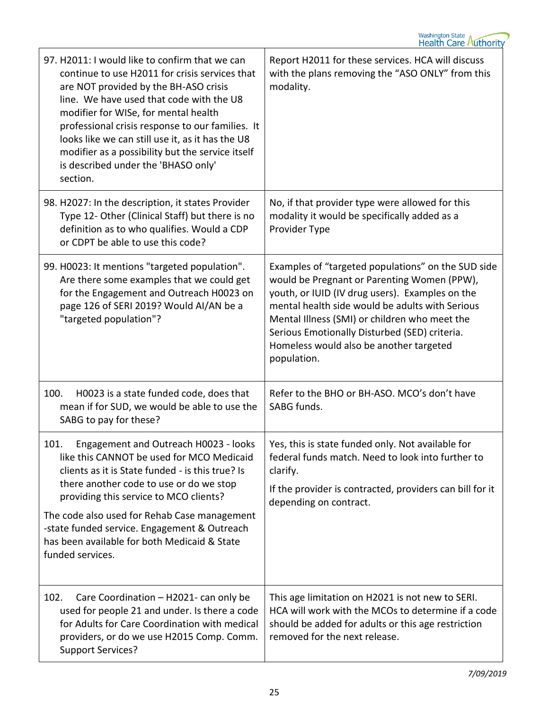| 97. H2011: I would like to confirm that we can<br>continue to use H2011 for crisis services that<br>are NOT provided by the BH-ASO crisis<br>line. We have used that code with the U8<br>modifier for WISe, for mental health<br>professional crisis response to our families. It<br>looks like we can still use it, as it has the U8<br>modifier as a possibility but the service itself<br>is described under the 'BHASO only'<br>section. | Report H2011 for these services. HCA will discuss<br>with the plans removing the "ASO ONLY" from this<br>modality.                                                                                                                                                                                                                                                  |
|----------------------------------------------------------------------------------------------------------------------------------------------------------------------------------------------------------------------------------------------------------------------------------------------------------------------------------------------------------------------------------------------------------------------------------------------|---------------------------------------------------------------------------------------------------------------------------------------------------------------------------------------------------------------------------------------------------------------------------------------------------------------------------------------------------------------------|
| 98. H2027: In the description, it states Provider<br>Type 12- Other (Clinical Staff) but there is no<br>definition as to who qualifies. Would a CDP<br>or CDPT be able to use this code?                                                                                                                                                                                                                                                     | No, if that provider type were allowed for this<br>modality it would be specifically added as a<br>Provider Type                                                                                                                                                                                                                                                    |
| 99. H0023: It mentions "targeted population".<br>Are there some examples that we could get<br>for the Engagement and Outreach H0023 on<br>page 126 of SERI 2019? Would AI/AN be a<br>"targeted population"?                                                                                                                                                                                                                                  | Examples of "targeted populations" on the SUD side<br>would be Pregnant or Parenting Women (PPW),<br>youth, or IUID (IV drug users). Examples on the<br>mental health side would be adults with Serious<br>Mental Illness (SMI) or children who meet the<br>Serious Emotionally Disturbed (SED) criteria.<br>Homeless would also be another targeted<br>population. |
| 100.<br>H0023 is a state funded code, does that<br>mean if for SUD, we would be able to use the<br>SABG to pay for these?                                                                                                                                                                                                                                                                                                                    | Refer to the BHO or BH-ASO. MCO's don't have<br>SABG funds.                                                                                                                                                                                                                                                                                                         |
| 101.<br>Engagement and Outreach H0023 - looks<br>like this CANNOT be used for MCO Medicaid<br>clients as it is State funded - is this true? Is<br>there another code to use or do we stop<br>providing this service to MCO clients?<br>The code also used for Rehab Case management<br>-state funded service. Engagement & Outreach<br>has been available for both Medicaid & State<br>funded services.                                      | Yes, this is state funded only. Not available for<br>federal funds match. Need to look into further to<br>clarify.<br>If the provider is contracted, providers can bill for it<br>depending on contract.                                                                                                                                                            |
| 102.<br>Care Coordination - H2021- can only be<br>used for people 21 and under. Is there a code<br>for Adults for Care Coordination with medical<br>providers, or do we use H2015 Comp. Comm.<br><b>Support Services?</b>                                                                                                                                                                                                                    | This age limitation on H2021 is not new to SERI.<br>HCA will work with the MCOs to determine if a code<br>should be added for adults or this age restriction<br>removed for the next release.                                                                                                                                                                       |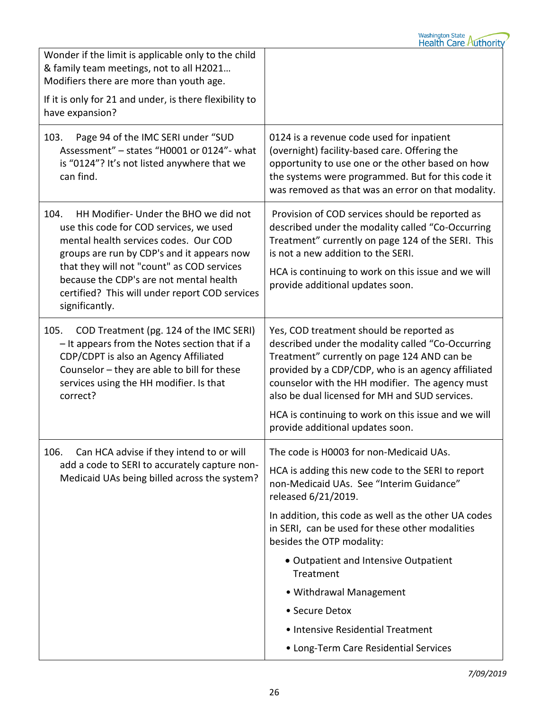| 0124 is a revenue code used for inpatient<br>(overnight) facility-based care. Offering the<br>opportunity to use one or the other based on how<br>the systems were programmed. But for this code it<br>was removed as that was an error on that modality.                                                                                                                                                                                                                                |
|------------------------------------------------------------------------------------------------------------------------------------------------------------------------------------------------------------------------------------------------------------------------------------------------------------------------------------------------------------------------------------------------------------------------------------------------------------------------------------------|
| Provision of COD services should be reported as<br>described under the modality called "Co-Occurring<br>Treatment" currently on page 124 of the SERI. This<br>is not a new addition to the SERI.<br>HCA is continuing to work on this issue and we will<br>provide additional updates soon.                                                                                                                                                                                              |
| Yes, COD treatment should be reported as<br>described under the modality called "Co-Occurring<br>Treatment" currently on page 124 AND can be<br>provided by a CDP/CDP, who is an agency affiliated<br>counselor with the HH modifier. The agency must<br>also be dual licensed for MH and SUD services.<br>HCA is continuing to work on this issue and we will<br>provide additional updates soon.                                                                                       |
| The code is H0003 for non-Medicaid UAs.<br>HCA is adding this new code to the SERI to report<br>non-Medicaid UAs. See "Interim Guidance"<br>released 6/21/2019.<br>In addition, this code as well as the other UA codes<br>in SERI, can be used for these other modalities<br>besides the OTP modality:<br>• Outpatient and Intensive Outpatient<br>Treatment<br>• Withdrawal Management<br>• Secure Detox<br>• Intensive Residential Treatment<br>• Long-Term Care Residential Services |
|                                                                                                                                                                                                                                                                                                                                                                                                                                                                                          |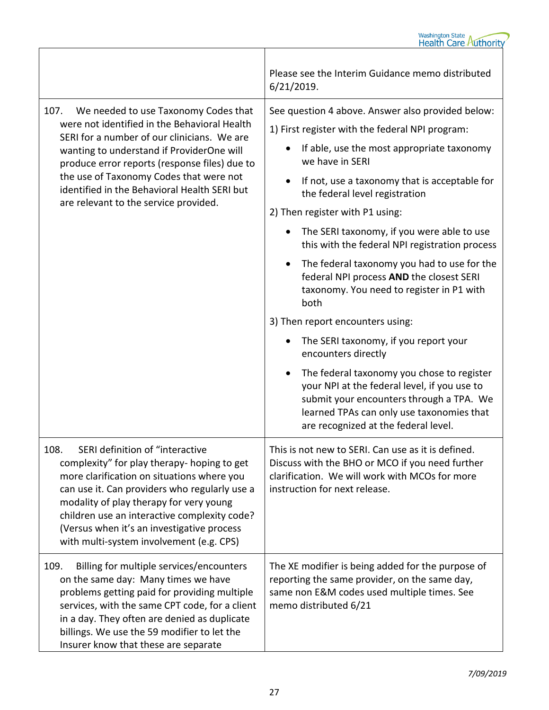|                                                                                                                                                                                                                                                                                                                                                                               | Please see the Interim Guidance memo distributed<br>6/21/2019.                                                                                                                                                                                                                                                                                                                                                                                                                                                                                                                                                                                                                                                                                                                                                                                                                      |
|-------------------------------------------------------------------------------------------------------------------------------------------------------------------------------------------------------------------------------------------------------------------------------------------------------------------------------------------------------------------------------|-------------------------------------------------------------------------------------------------------------------------------------------------------------------------------------------------------------------------------------------------------------------------------------------------------------------------------------------------------------------------------------------------------------------------------------------------------------------------------------------------------------------------------------------------------------------------------------------------------------------------------------------------------------------------------------------------------------------------------------------------------------------------------------------------------------------------------------------------------------------------------------|
| 107.<br>We needed to use Taxonomy Codes that<br>were not identified in the Behavioral Health<br>SERI for a number of our clinicians. We are<br>wanting to understand if ProviderOne will<br>produce error reports (response files) due to<br>the use of Taxonomy Codes that were not<br>identified in the Behavioral Health SERI but<br>are relevant to the service provided. | See question 4 above. Answer also provided below:<br>1) First register with the federal NPI program:<br>If able, use the most appropriate taxonomy<br>we have in SERI<br>If not, use a taxonomy that is acceptable for<br>the federal level registration<br>2) Then register with P1 using:<br>The SERI taxonomy, if you were able to use<br>this with the federal NPI registration process<br>The federal taxonomy you had to use for the<br>٠<br>federal NPI process AND the closest SERI<br>taxonomy. You need to register in P1 with<br>both<br>3) Then report encounters using:<br>The SERI taxonomy, if you report your<br>encounters directly<br>The federal taxonomy you chose to register<br>your NPI at the federal level, if you use to<br>submit your encounters through a TPA. We<br>learned TPAs can only use taxonomies that<br>are recognized at the federal level. |
| SERI definition of "interactive<br>108.<br>complexity" for play therapy- hoping to get<br>more clarification on situations where you<br>can use it. Can providers who regularly use a<br>modality of play therapy for very young<br>children use an interactive complexity code?<br>(Versus when it's an investigative process<br>with multi-system involvement (e.g. CPS)    | This is not new to SERI. Can use as it is defined.<br>Discuss with the BHO or MCO if you need further<br>clarification. We will work with MCOs for more<br>instruction for next release.                                                                                                                                                                                                                                                                                                                                                                                                                                                                                                                                                                                                                                                                                            |
| Billing for multiple services/encounters<br>109.<br>on the same day: Many times we have<br>problems getting paid for providing multiple<br>services, with the same CPT code, for a client<br>in a day. They often are denied as duplicate<br>billings. We use the 59 modifier to let the<br>Insurer know that these are separate                                              | The XE modifier is being added for the purpose of<br>reporting the same provider, on the same day,<br>same non E&M codes used multiple times. See<br>memo distributed 6/21                                                                                                                                                                                                                                                                                                                                                                                                                                                                                                                                                                                                                                                                                                          |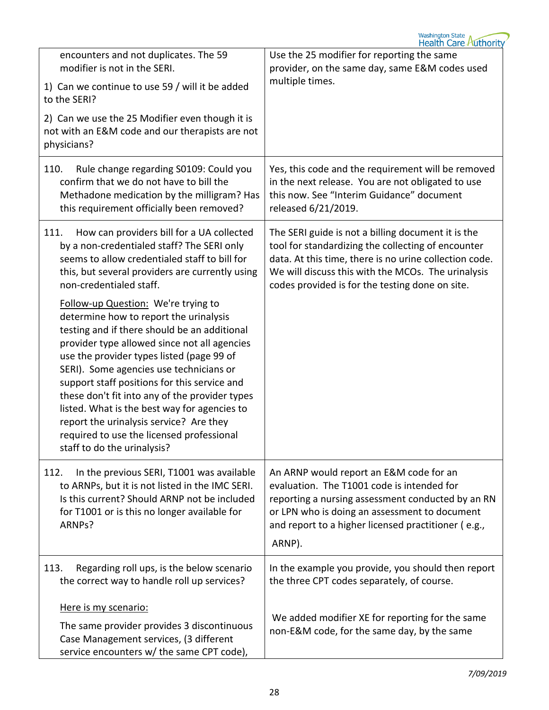| encounters and not duplicates. The 59<br>modifier is not in the SERI.<br>1) Can we continue to use 59 / will it be added<br>to the SERI?<br>2) Can we use the 25 Modifier even though it is<br>not with an E&M code and our therapists are not<br>physicians?                                                                                                                                                                                                                                                                                  | Use the 25 modifier for reporting the same<br>provider, on the same day, same E&M codes used<br>multiple times.                                                                                                                                                             |
|------------------------------------------------------------------------------------------------------------------------------------------------------------------------------------------------------------------------------------------------------------------------------------------------------------------------------------------------------------------------------------------------------------------------------------------------------------------------------------------------------------------------------------------------|-----------------------------------------------------------------------------------------------------------------------------------------------------------------------------------------------------------------------------------------------------------------------------|
| 110.<br>Rule change regarding S0109: Could you<br>confirm that we do not have to bill the<br>Methadone medication by the milligram? Has<br>this requirement officially been removed?                                                                                                                                                                                                                                                                                                                                                           | Yes, this code and the requirement will be removed<br>in the next release. You are not obligated to use<br>this now. See "Interim Guidance" document<br>released 6/21/2019.                                                                                                 |
| How can providers bill for a UA collected<br>111.<br>by a non-credentialed staff? The SERI only<br>seems to allow credentialed staff to bill for<br>this, but several providers are currently using<br>non-credentialed staff.                                                                                                                                                                                                                                                                                                                 | The SERI guide is not a billing document it is the<br>tool for standardizing the collecting of encounter<br>data. At this time, there is no urine collection code.<br>We will discuss this with the MCOs. The urinalysis<br>codes provided is for the testing done on site. |
| Follow-up Question: We're trying to<br>determine how to report the urinalysis<br>testing and if there should be an additional<br>provider type allowed since not all agencies<br>use the provider types listed (page 99 of<br>SERI). Some agencies use technicians or<br>support staff positions for this service and<br>these don't fit into any of the provider types<br>listed. What is the best way for agencies to<br>report the urinalysis service? Are they<br>required to use the licensed professional<br>staff to do the urinalysis? |                                                                                                                                                                                                                                                                             |
| In the previous SERI, T1001 was available<br>112.<br>to ARNPs, but it is not listed in the IMC SERI.<br>Is this current? Should ARNP not be included<br>for T1001 or is this no longer available for<br>ARNPs?                                                                                                                                                                                                                                                                                                                                 | An ARNP would report an E&M code for an<br>evaluation. The T1001 code is intended for<br>reporting a nursing assessment conducted by an RN<br>or LPN who is doing an assessment to document<br>and report to a higher licensed practitioner (e.g.,<br>ARNP).                |
| 113.<br>Regarding roll ups, is the below scenario<br>the correct way to handle roll up services?                                                                                                                                                                                                                                                                                                                                                                                                                                               | In the example you provide, you should then report<br>the three CPT codes separately, of course.                                                                                                                                                                            |
| Here is my scenario:<br>The same provider provides 3 discontinuous<br>Case Management services, (3 different<br>service encounters w/ the same CPT code),                                                                                                                                                                                                                                                                                                                                                                                      | We added modifier XE for reporting for the same<br>non-E&M code, for the same day, by the same                                                                                                                                                                              |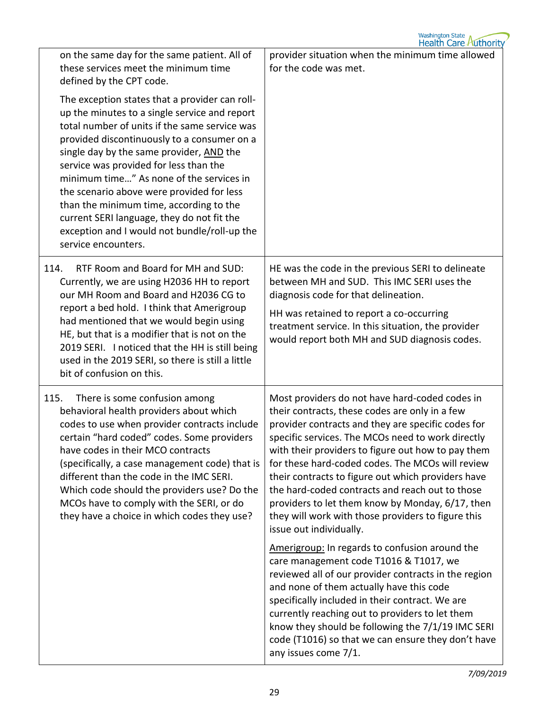| on the same day for the same patient. All of<br>these services meet the minimum time<br>defined by the CPT code.                                                                                                                                                                                                                                                                                                                                                                                                                               | provider situation when the minimum time allowed<br>for the code was met.                                                                                                                                                                                                                                                                                                                                                                                                                                                                                           |
|------------------------------------------------------------------------------------------------------------------------------------------------------------------------------------------------------------------------------------------------------------------------------------------------------------------------------------------------------------------------------------------------------------------------------------------------------------------------------------------------------------------------------------------------|---------------------------------------------------------------------------------------------------------------------------------------------------------------------------------------------------------------------------------------------------------------------------------------------------------------------------------------------------------------------------------------------------------------------------------------------------------------------------------------------------------------------------------------------------------------------|
| The exception states that a provider can roll-<br>up the minutes to a single service and report<br>total number of units if the same service was<br>provided discontinuously to a consumer on a<br>single day by the same provider, AND the<br>service was provided for less than the<br>minimum time" As none of the services in<br>the scenario above were provided for less<br>than the minimum time, according to the<br>current SERI language, they do not fit the<br>exception and I would not bundle/roll-up the<br>service encounters. |                                                                                                                                                                                                                                                                                                                                                                                                                                                                                                                                                                     |
| RTF Room and Board for MH and SUD:<br>114.<br>Currently, we are using H2036 HH to report<br>our MH Room and Board and H2036 CG to<br>report a bed hold. I think that Amerigroup<br>had mentioned that we would begin using<br>HE, but that is a modifier that is not on the<br>2019 SERI. I noticed that the HH is still being<br>used in the 2019 SERI, so there is still a little<br>bit of confusion on this.                                                                                                                               | HE was the code in the previous SERI to delineate<br>between MH and SUD. This IMC SERI uses the<br>diagnosis code for that delineation.<br>HH was retained to report a co-occurring<br>treatment service. In this situation, the provider<br>would report both MH and SUD diagnosis codes.                                                                                                                                                                                                                                                                          |
| There is some confusion among<br>115.<br>behavioral health providers about which<br>codes to use when provider contracts include<br>certain "hard coded" codes. Some providers<br>have codes in their MCO contracts<br>(specifically, a case management code) that is<br>different than the code in the IMC SERI.<br>Which code should the providers use? Do the<br>MCOs have to comply with the SERI, or do<br>they have a choice in which codes they use?                                                                                    | Most providers do not have hard-coded codes in<br>their contracts, these codes are only in a few<br>provider contracts and they are specific codes for<br>specific services. The MCOs need to work directly<br>with their providers to figure out how to pay them<br>for these hard-coded codes. The MCOs will review<br>their contracts to figure out which providers have<br>the hard-coded contracts and reach out to those<br>providers to let them know by Monday, 6/17, then<br>they will work with those providers to figure this<br>issue out individually. |
|                                                                                                                                                                                                                                                                                                                                                                                                                                                                                                                                                | Amerigroup: In regards to confusion around the<br>care management code T1016 & T1017, we<br>reviewed all of our provider contracts in the region<br>and none of them actually have this code<br>specifically included in their contract. We are<br>currently reaching out to providers to let them<br>know they should be following the 7/1/19 IMC SERI<br>code (T1016) so that we can ensure they don't have<br>any issues come 7/1.                                                                                                                               |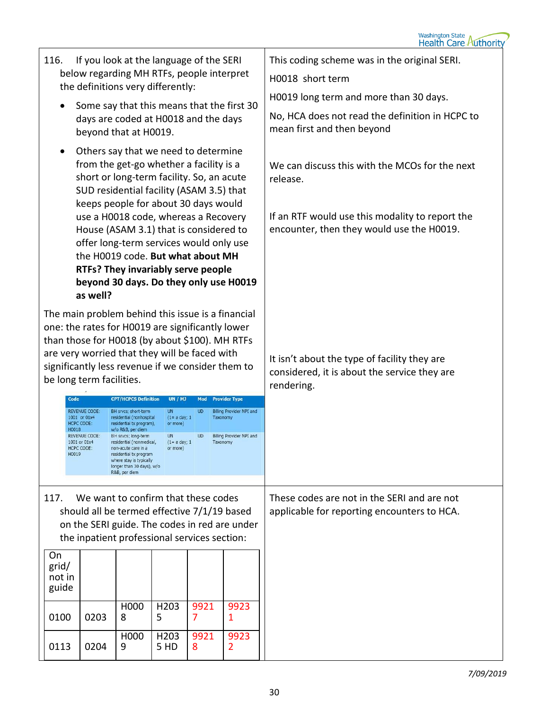| If you look at the language of the SERI<br>116.<br>below regarding MH RTFs, people interpret<br>the definitions very differently:<br>Some say that this means that the first 30                                                                                                                                                                                                                                                                                                                                          |                                                                                                                                                                |                             |                |           |                      | This coding scheme was in the original SERI.                                                 |
|--------------------------------------------------------------------------------------------------------------------------------------------------------------------------------------------------------------------------------------------------------------------------------------------------------------------------------------------------------------------------------------------------------------------------------------------------------------------------------------------------------------------------|----------------------------------------------------------------------------------------------------------------------------------------------------------------|-----------------------------|----------------|-----------|----------------------|----------------------------------------------------------------------------------------------|
|                                                                                                                                                                                                                                                                                                                                                                                                                                                                                                                          |                                                                                                                                                                |                             |                |           |                      | H0018 short term                                                                             |
|                                                                                                                                                                                                                                                                                                                                                                                                                                                                                                                          |                                                                                                                                                                |                             |                |           |                      | H0019 long term and more than 30 days.                                                       |
|                                                                                                                                                                                                                                                                                                                                                                                                                                                                                                                          | days are coded at H0018 and the days<br>beyond that at H0019.                                                                                                  |                             |                |           |                      | No, HCA does not read the definition in HCPC to<br>mean first and then beyond                |
| Others say that we need to determine<br>$\bullet$<br>from the get-go whether a facility is a<br>short or long-term facility. So, an acute<br>SUD residential facility (ASAM 3.5) that<br>keeps people for about 30 days would                                                                                                                                                                                                                                                                                            |                                                                                                                                                                |                             |                |           |                      | We can discuss this with the MCOs for the next<br>release.                                   |
|                                                                                                                                                                                                                                                                                                                                                                                                                                                                                                                          | use a H0018 code, whereas a Recovery<br>House (ASAM 3.1) that is considered to<br>offer long-term services would only use<br>the H0019 code. But what about MH |                             |                |           |                      | If an RTF would use this modality to report the<br>encounter, then they would use the H0019. |
|                                                                                                                                                                                                                                                                                                                                                                                                                                                                                                                          | RTFs? They invariably serve people<br>beyond 30 days. Do they only use H0019<br>as well?                                                                       |                             |                |           |                      |                                                                                              |
|                                                                                                                                                                                                                                                                                                                                                                                                                                                                                                                          | The main problem behind this issue is a financial<br>one: the rates for H0019 are significantly lower                                                          |                             |                |           |                      |                                                                                              |
|                                                                                                                                                                                                                                                                                                                                                                                                                                                                                                                          | than those for H0018 (by about \$100). MH RTFs                                                                                                                 |                             |                |           |                      |                                                                                              |
|                                                                                                                                                                                                                                                                                                                                                                                                                                                                                                                          | are very worried that they will be faced with<br>significantly less revenue if we consider them to                                                             |                             |                |           |                      | It isn't about the type of facility they are                                                 |
|                                                                                                                                                                                                                                                                                                                                                                                                                                                                                                                          | be long term facilities.                                                                                                                                       |                             |                |           |                      | considered, it is about the service they are<br>rendering.                                   |
| Code                                                                                                                                                                                                                                                                                                                                                                                                                                                                                                                     |                                                                                                                                                                | <b>CPT/HCPCS Definition</b> | <b>UN / MJ</b> | Mod       | <b>Provider Type</b> |                                                                                              |
| <b>REVENUE CODE:</b><br><b>UN</b><br>Billing Provider NPI and<br>BH srvcs; short-term<br><b>UD</b><br>1001 or 01x4<br>residential (nonhospital<br>$(1 = a day; 1)$<br>Taxonomy<br><b>HCPC CODE:</b><br>residential tx program),<br>or more)<br>H0018<br>w/o R&B, per diem<br><b>Billing Provider NPI and</b><br><b>REVENUE CODE:</b><br>BH srvcs; long-term<br><b>UN</b><br><b>UD</b><br>1001 or 01x4<br>residential (nonmedical,<br>$(1= a day; 1)$<br>Taxonomy<br><b>HCPC CODE:</b><br>non-acute care in a<br>or more) |                                                                                                                                                                |                             |                |           |                      |                                                                                              |
|                                                                                                                                                                                                                                                                                                                                                                                                                                                                                                                          |                                                                                                                                                                |                             |                |           |                      |                                                                                              |
| H0019<br>residential tx program<br>where stay is typically<br>longer than 30 days), w/o                                                                                                                                                                                                                                                                                                                                                                                                                                  |                                                                                                                                                                |                             |                |           |                      |                                                                                              |
|                                                                                                                                                                                                                                                                                                                                                                                                                                                                                                                          |                                                                                                                                                                | R&B, per diem               |                |           |                      |                                                                                              |
| 117.                                                                                                                                                                                                                                                                                                                                                                                                                                                                                                                     | We want to confirm that these codes                                                                                                                            |                             |                |           |                      | These codes are not in the SERI and are not<br>applicable for reporting encounters to HCA.   |
| should all be termed effective 7/1/19 based<br>on the SERI guide. The codes in red are under                                                                                                                                                                                                                                                                                                                                                                                                                             |                                                                                                                                                                |                             |                |           |                      |                                                                                              |
| the inpatient professional services section:                                                                                                                                                                                                                                                                                                                                                                                                                                                                             |                                                                                                                                                                |                             |                |           |                      |                                                                                              |
| On<br>grid/                                                                                                                                                                                                                                                                                                                                                                                                                                                                                                              |                                                                                                                                                                |                             |                |           |                      |                                                                                              |
| not in<br>guide                                                                                                                                                                                                                                                                                                                                                                                                                                                                                                          |                                                                                                                                                                |                             |                |           |                      |                                                                                              |
| 0100                                                                                                                                                                                                                                                                                                                                                                                                                                                                                                                     | 0203                                                                                                                                                           | H000<br>8                   | H203<br>5      | 9921<br>7 | 9923<br>1            |                                                                                              |
|                                                                                                                                                                                                                                                                                                                                                                                                                                                                                                                          |                                                                                                                                                                | H000                        | H203           | 9921      | 9923                 |                                                                                              |
| 0113                                                                                                                                                                                                                                                                                                                                                                                                                                                                                                                     | 0204                                                                                                                                                           | 9                           | 5 HD           | 8         | 2                    |                                                                                              |
|                                                                                                                                                                                                                                                                                                                                                                                                                                                                                                                          |                                                                                                                                                                |                             |                |           |                      | 7/09/201                                                                                     |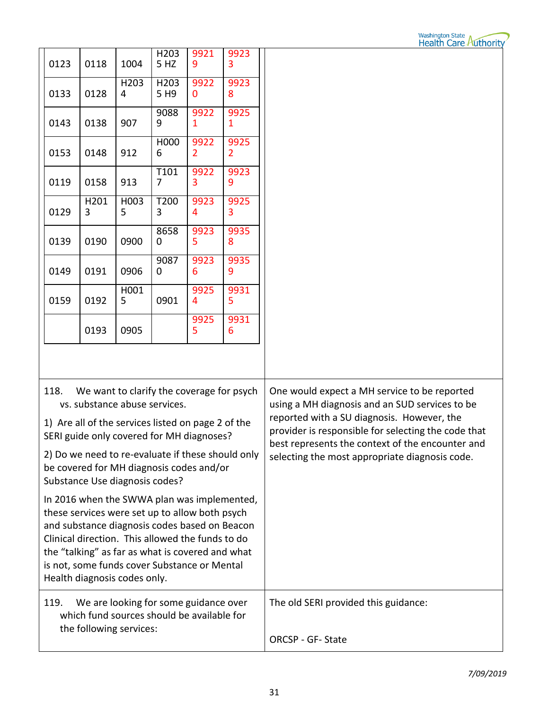## Washington State<br>Health Care Authority

| 0123                                                                                                                                                                                                                                                                                    | 0118      | 1004      | H203<br>5 HZ             | 9921<br>9 | 9923<br>3 |                                                                                                                                                                                                                                                                                                           |
|-----------------------------------------------------------------------------------------------------------------------------------------------------------------------------------------------------------------------------------------------------------------------------------------|-----------|-----------|--------------------------|-----------|-----------|-----------------------------------------------------------------------------------------------------------------------------------------------------------------------------------------------------------------------------------------------------------------------------------------------------------|
| 0133                                                                                                                                                                                                                                                                                    | 0128      | H203<br>4 | H203<br>5 H <sub>9</sub> | 9922<br>0 | 9923<br>8 |                                                                                                                                                                                                                                                                                                           |
| 0143                                                                                                                                                                                                                                                                                    | 0138      | 907       | 9088<br>9                | 9922<br>1 | 9925<br>1 |                                                                                                                                                                                                                                                                                                           |
| 0153                                                                                                                                                                                                                                                                                    | 0148      | 912       | H000<br>6                | 9922<br>2 | 9925<br>2 |                                                                                                                                                                                                                                                                                                           |
| 0119                                                                                                                                                                                                                                                                                    | 0158      | 913       | T101<br>7                | 9922<br>3 | 9923<br>9 |                                                                                                                                                                                                                                                                                                           |
| 0129                                                                                                                                                                                                                                                                                    | H201<br>3 | H003<br>5 | T200<br>3                | 9923<br>4 | 9925<br>3 |                                                                                                                                                                                                                                                                                                           |
| 0139                                                                                                                                                                                                                                                                                    | 0190      | 0900      | 8658<br>0                | 9923<br>5 | 9935<br>8 |                                                                                                                                                                                                                                                                                                           |
| 0149                                                                                                                                                                                                                                                                                    | 0191      | 0906      | 9087<br>0                | 9923<br>6 | 9935<br>9 |                                                                                                                                                                                                                                                                                                           |
| 0159                                                                                                                                                                                                                                                                                    | 0192      | H001<br>5 | 0901                     | 9925<br>4 | 9931<br>5 |                                                                                                                                                                                                                                                                                                           |
|                                                                                                                                                                                                                                                                                         | 0193      | 0905      |                          | 9925<br>5 | 9931<br>6 |                                                                                                                                                                                                                                                                                                           |
|                                                                                                                                                                                                                                                                                         |           |           |                          |           |           |                                                                                                                                                                                                                                                                                                           |
| 118.<br>We want to clarify the coverage for psych<br>vs. substance abuse services.<br>1) Are all of the services listed on page 2 of the<br>SERI guide only covered for MH diagnoses?<br>2) Do we need to re-evaluate if these should only<br>be covered for MH diagnosis codes and/or  |           |           |                          |           |           | One would expect a MH service to be reported<br>using a MH diagnosis and an SUD services to be<br>reported with a SU diagnosis. However, the<br>provider is responsible for selecting the code that<br>best represents the context of the encounter and<br>selecting the most appropriate diagnosis code. |
| Substance Use diagnosis codes?<br>In 2016 when the SWWA plan was implemented,                                                                                                                                                                                                           |           |           |                          |           |           |                                                                                                                                                                                                                                                                                                           |
| these services were set up to allow both psych<br>and substance diagnosis codes based on Beacon<br>Clinical direction. This allowed the funds to do<br>the "talking" as far as what is covered and what<br>is not, some funds cover Substance or Mental<br>Health diagnosis codes only. |           |           |                          |           |           |                                                                                                                                                                                                                                                                                                           |
| We are looking for some guidance over<br>119.<br>which fund sources should be available for<br>the following services:                                                                                                                                                                  |           |           |                          |           |           | The old SERI provided this guidance:                                                                                                                                                                                                                                                                      |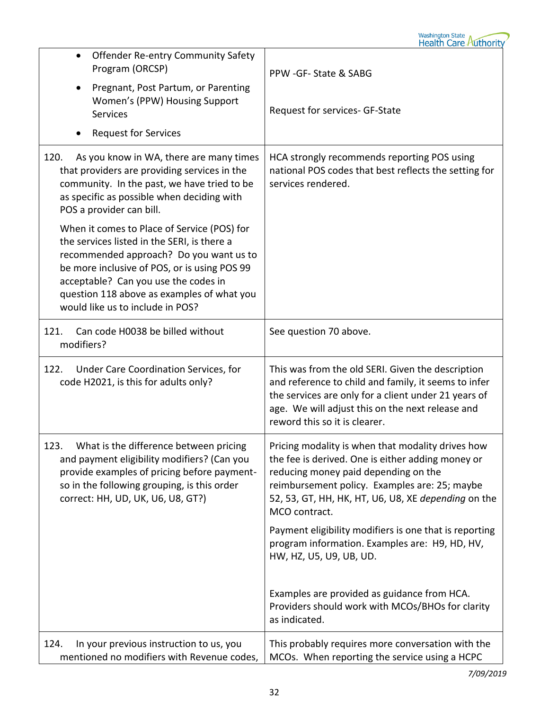| <b>Offender Re-entry Community Safety</b><br>$\bullet$<br>Program (ORCSP)<br>Pregnant, Post Partum, or Parenting<br>$\bullet$<br>Women's (PPW) Housing Support<br><b>Services</b><br><b>Request for Services</b><br>$\bullet$                                                                                   | PPW -GF- State & SABG<br>Request for services- GF-State                                                                                                                                                                                                                 |
|-----------------------------------------------------------------------------------------------------------------------------------------------------------------------------------------------------------------------------------------------------------------------------------------------------------------|-------------------------------------------------------------------------------------------------------------------------------------------------------------------------------------------------------------------------------------------------------------------------|
| As you know in WA, there are many times<br>120.<br>that providers are providing services in the<br>community. In the past, we have tried to be<br>as specific as possible when deciding with<br>POS a provider can bill.                                                                                        | HCA strongly recommends reporting POS using<br>national POS codes that best reflects the setting for<br>services rendered.                                                                                                                                              |
| When it comes to Place of Service (POS) for<br>the services listed in the SERI, is there a<br>recommended approach? Do you want us to<br>be more inclusive of POS, or is using POS 99<br>acceptable? Can you use the codes in<br>question 118 above as examples of what you<br>would like us to include in POS? |                                                                                                                                                                                                                                                                         |
| Can code H0038 be billed without<br>121.<br>modifiers?                                                                                                                                                                                                                                                          | See question 70 above.                                                                                                                                                                                                                                                  |
| Under Care Coordination Services, for<br>122.<br>code H2021, is this for adults only?                                                                                                                                                                                                                           | This was from the old SERI. Given the description<br>and reference to child and family, it seems to infer<br>the services are only for a client under 21 years of<br>age. We will adjust this on the next release and<br>reword this so it is clearer.                  |
| 123.<br>What is the difference between pricing<br>and payment eligibility modifiers? (Can you<br>provide examples of pricing before payment-<br>so in the following grouping, is this order<br>correct: HH, UD, UK, U6, U8, GT?)                                                                                | Pricing modality is when that modality drives how<br>the fee is derived. One is either adding money or<br>reducing money paid depending on the<br>reimbursement policy. Examples are: 25; maybe<br>52, 53, GT, HH, HK, HT, U6, U8, XE depending on the<br>MCO contract. |
|                                                                                                                                                                                                                                                                                                                 | Payment eligibility modifiers is one that is reporting<br>program information. Examples are: H9, HD, HV,<br>HW, HZ, U5, U9, UB, UD.                                                                                                                                     |
|                                                                                                                                                                                                                                                                                                                 | Examples are provided as guidance from HCA.<br>Providers should work with MCOs/BHOs for clarity<br>as indicated.                                                                                                                                                        |
| 124.<br>In your previous instruction to us, you<br>mentioned no modifiers with Revenue codes,                                                                                                                                                                                                                   | This probably requires more conversation with the<br>MCOs. When reporting the service using a HCPC                                                                                                                                                                      |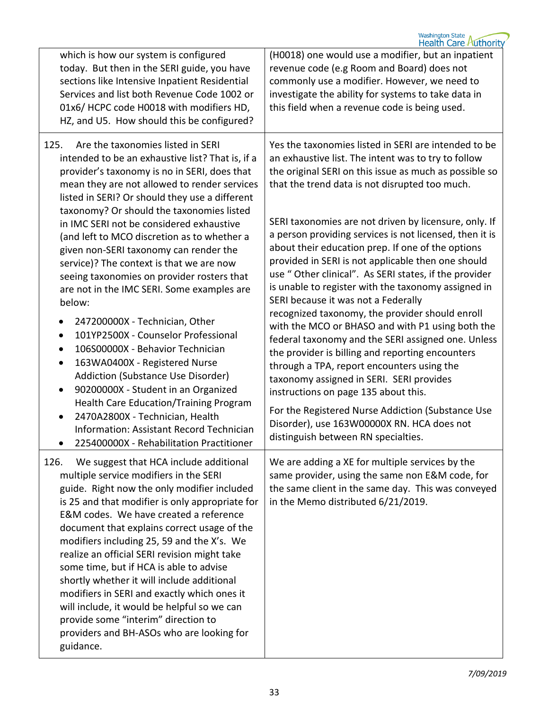| which is how our system is configured<br>today. But then in the SERI guide, you have<br>sections like Intensive Inpatient Residential<br>Services and list both Revenue Code 1002 or<br>01x6/HCPC code H0018 with modifiers HD,<br>HZ, and U5. How should this be configured?                                                                                                                                                                                                                                                                                                                                                                                             | (H0018) one would use a modifier, but an inpatient<br>revenue code (e.g Room and Board) does not<br>commonly use a modifier. However, we need to<br>investigate the ability for systems to take data in<br>this field when a revenue code is being used.                                                                                                                                                                               |
|---------------------------------------------------------------------------------------------------------------------------------------------------------------------------------------------------------------------------------------------------------------------------------------------------------------------------------------------------------------------------------------------------------------------------------------------------------------------------------------------------------------------------------------------------------------------------------------------------------------------------------------------------------------------------|----------------------------------------------------------------------------------------------------------------------------------------------------------------------------------------------------------------------------------------------------------------------------------------------------------------------------------------------------------------------------------------------------------------------------------------|
| Are the taxonomies listed in SERI<br>125.<br>intended to be an exhaustive list? That is, if a<br>provider's taxonomy is no in SERI, does that<br>mean they are not allowed to render services<br>listed in SERI? Or should they use a different<br>taxonomy? Or should the taxonomies listed                                                                                                                                                                                                                                                                                                                                                                              | Yes the taxonomies listed in SERI are intended to be<br>an exhaustive list. The intent was to try to follow<br>the original SERI on this issue as much as possible so<br>that the trend data is not disrupted too much.                                                                                                                                                                                                                |
| in IMC SERI not be considered exhaustive<br>(and left to MCO discretion as to whether a<br>given non-SERI taxonomy can render the<br>service)? The context is that we are now<br>seeing taxonomies on provider rosters that<br>are not in the IMC SERI. Some examples are<br>below:                                                                                                                                                                                                                                                                                                                                                                                       | SERI taxonomies are not driven by licensure, only. If<br>a person providing services is not licensed, then it is<br>about their education prep. If one of the options<br>provided in SERI is not applicable then one should<br>use " Other clinical". As SERI states, if the provider<br>is unable to register with the taxonomy assigned in<br>SERI because it was not a Federally<br>recognized taxonomy, the provider should enroll |
| 247200000X - Technician, Other<br>$\bullet$<br>101YP2500X - Counselor Professional<br>$\bullet$<br>106S00000X - Behavior Technician<br>$\bullet$<br>163WA0400X - Registered Nurse<br>$\bullet$<br>Addiction (Substance Use Disorder)<br>90200000X - Student in an Organized<br>$\bullet$<br><b>Health Care Education/Training Program</b>                                                                                                                                                                                                                                                                                                                                 | with the MCO or BHASO and with P1 using both the<br>federal taxonomy and the SERI assigned one. Unless<br>the provider is billing and reporting encounters<br>through a TPA, report encounters using the<br>taxonomy assigned in SERI. SERI provides<br>instructions on page 135 about this.                                                                                                                                           |
| 2470A2800X - Technician, Health<br>$\bullet$<br><b>Information: Assistant Record Technician</b><br>225400000X - Rehabilitation Practitioner<br>$\bullet$                                                                                                                                                                                                                                                                                                                                                                                                                                                                                                                  | For the Registered Nurse Addiction (Substance Use<br>Disorder), use 163W00000X RN. HCA does not<br>distinguish between RN specialties.                                                                                                                                                                                                                                                                                                 |
| We suggest that HCA include additional<br>126.<br>multiple service modifiers in the SERI<br>guide. Right now the only modifier included<br>is 25 and that modifier is only appropriate for<br>E&M codes. We have created a reference<br>document that explains correct usage of the<br>modifiers including 25, 59 and the X's. We<br>realize an official SERI revision might take<br>some time, but if HCA is able to advise<br>shortly whether it will include additional<br>modifiers in SERI and exactly which ones it<br>will include, it would be helpful so we can<br>provide some "interim" direction to<br>providers and BH-ASOs who are looking for<br>guidance. | We are adding a XE for multiple services by the<br>same provider, using the same non E&M code, for<br>the same client in the same day. This was conveyed<br>in the Memo distributed 6/21/2019.                                                                                                                                                                                                                                         |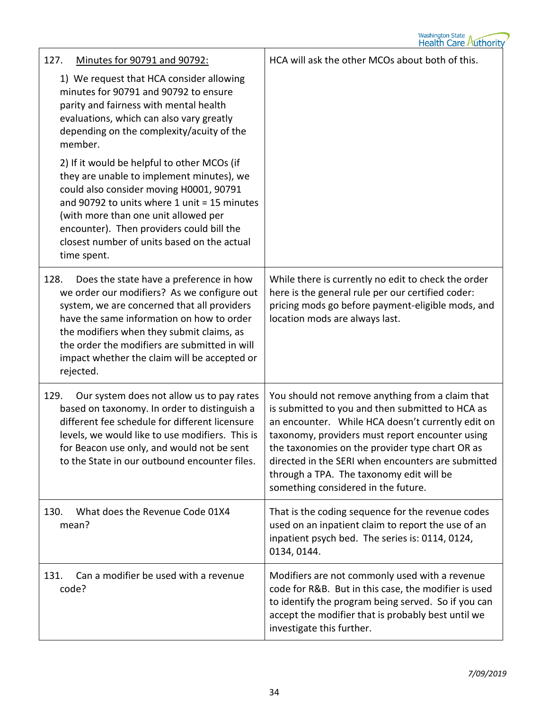## Washington State<br>Health Care Authority

| Minutes for 90791 and 90792:<br>127.                                                                                                                                                                                                                                                                                                                  | HCA will ask the other MCOs about both of this.                                                                                                                                                                                                                                                                                                                                                          |
|-------------------------------------------------------------------------------------------------------------------------------------------------------------------------------------------------------------------------------------------------------------------------------------------------------------------------------------------------------|----------------------------------------------------------------------------------------------------------------------------------------------------------------------------------------------------------------------------------------------------------------------------------------------------------------------------------------------------------------------------------------------------------|
| 1) We request that HCA consider allowing<br>minutes for 90791 and 90792 to ensure<br>parity and fairness with mental health<br>evaluations, which can also vary greatly<br>depending on the complexity/acuity of the<br>member.                                                                                                                       |                                                                                                                                                                                                                                                                                                                                                                                                          |
| 2) If it would be helpful to other MCOs (if<br>they are unable to implement minutes), we<br>could also consider moving H0001, 90791<br>and 90792 to units where 1 unit = 15 minutes<br>(with more than one unit allowed per<br>encounter). Then providers could bill the<br>closest number of units based on the actual<br>time spent.                |                                                                                                                                                                                                                                                                                                                                                                                                          |
| 128.<br>Does the state have a preference in how<br>we order our modifiers? As we configure out<br>system, we are concerned that all providers<br>have the same information on how to order<br>the modifiers when they submit claims, as<br>the order the modifiers are submitted in will<br>impact whether the claim will be accepted or<br>rejected. | While there is currently no edit to check the order<br>here is the general rule per our certified coder:<br>pricing mods go before payment-eligible mods, and<br>location mods are always last.                                                                                                                                                                                                          |
| Our system does not allow us to pay rates<br>129.<br>based on taxonomy. In order to distinguish a<br>different fee schedule for different licensure<br>levels, we would like to use modifiers. This is<br>for Beacon use only, and would not be sent<br>to the State in our outbound encounter files.                                                 | You should not remove anything from a claim that<br>is submitted to you and then submitted to HCA as<br>an encounter. While HCA doesn't currently edit on<br>taxonomy, providers must report encounter using<br>the taxonomies on the provider type chart OR as<br>directed in the SERI when encounters are submitted<br>through a TPA. The taxonomy edit will be<br>something considered in the future. |
| What does the Revenue Code 01X4<br>130.<br>mean?                                                                                                                                                                                                                                                                                                      | That is the coding sequence for the revenue codes<br>used on an inpatient claim to report the use of an<br>inpatient psych bed. The series is: 0114, 0124,<br>0134, 0144.                                                                                                                                                                                                                                |
| Can a modifier be used with a revenue<br>131.<br>code?                                                                                                                                                                                                                                                                                                | Modifiers are not commonly used with a revenue<br>code for R&B. But in this case, the modifier is used<br>to identify the program being served. So if you can<br>accept the modifier that is probably best until we<br>investigate this further.                                                                                                                                                         |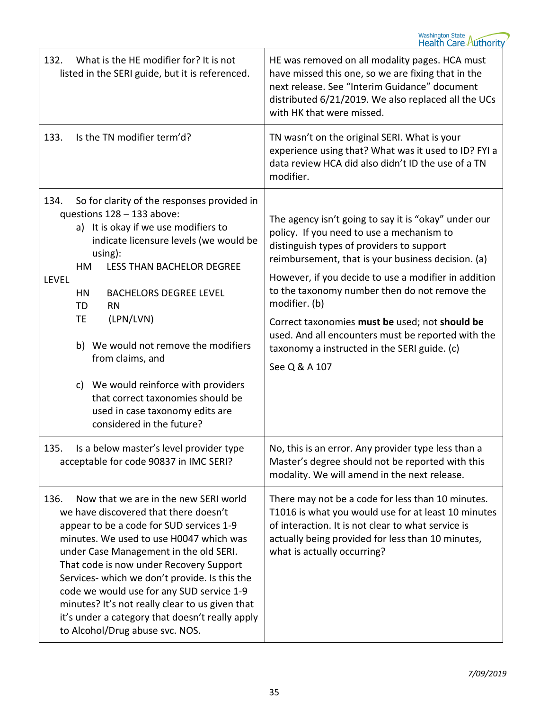| What is the HE modifier for? It is not<br>132.<br>listed in the SERI guide, but it is referenced.                                                                                                                                                                                                                                                                                                                                                                                                                                     | HE was removed on all modality pages. HCA must<br>have missed this one, so we are fixing that in the<br>next release. See "Interim Guidance" document<br>distributed 6/21/2019. We also replaced all the UCs<br>with HK that were missed.                                                                                                                                                                                                                                                               |
|---------------------------------------------------------------------------------------------------------------------------------------------------------------------------------------------------------------------------------------------------------------------------------------------------------------------------------------------------------------------------------------------------------------------------------------------------------------------------------------------------------------------------------------|---------------------------------------------------------------------------------------------------------------------------------------------------------------------------------------------------------------------------------------------------------------------------------------------------------------------------------------------------------------------------------------------------------------------------------------------------------------------------------------------------------|
| Is the TN modifier term'd?<br>133.                                                                                                                                                                                                                                                                                                                                                                                                                                                                                                    | TN wasn't on the original SERI. What is your<br>experience using that? What was it used to ID? FYI a<br>data review HCA did also didn't ID the use of a TN<br>modifier.                                                                                                                                                                                                                                                                                                                                 |
| 134.<br>So for clarity of the responses provided in<br>questions 128 - 133 above:<br>a) It is okay if we use modifiers to<br>indicate licensure levels (we would be<br>using):<br><b>LESS THAN BACHELOR DEGREE</b><br>HM<br><b>LEVEL</b><br><b>BACHELORS DEGREE LEVEL</b><br>HN<br>TD<br><b>RN</b><br>(LPN/LVN)<br><b>TE</b><br>b) We would not remove the modifiers<br>from claims, and<br>c) We would reinforce with providers<br>that correct taxonomies should be<br>used in case taxonomy edits are<br>considered in the future? | The agency isn't going to say it is "okay" under our<br>policy. If you need to use a mechanism to<br>distinguish types of providers to support<br>reimbursement, that is your business decision. (a)<br>However, if you decide to use a modifier in addition<br>to the taxonomy number then do not remove the<br>modifier. (b)<br>Correct taxonomies must be used; not should be<br>used. And all encounters must be reported with the<br>taxonomy a instructed in the SERI guide. (c)<br>See Q & A 107 |
| 135.<br>Is a below master's level provider type<br>acceptable for code 90837 in IMC SERI?                                                                                                                                                                                                                                                                                                                                                                                                                                             | No, this is an error. Any provider type less than a<br>Master's degree should not be reported with this<br>modality. We will amend in the next release.                                                                                                                                                                                                                                                                                                                                                 |
| Now that we are in the new SERI world<br>136.<br>we have discovered that there doesn't<br>appear to be a code for SUD services 1-9<br>minutes. We used to use H0047 which was<br>under Case Management in the old SERI.<br>That code is now under Recovery Support<br>Services- which we don't provide. Is this the<br>code we would use for any SUD service 1-9<br>minutes? It's not really clear to us given that<br>it's under a category that doesn't really apply<br>to Alcohol/Drug abuse svc. NOS.                             | There may not be a code for less than 10 minutes.<br>T1016 is what you would use for at least 10 minutes<br>of interaction. It is not clear to what service is<br>actually being provided for less than 10 minutes,<br>what is actually occurring?                                                                                                                                                                                                                                                      |